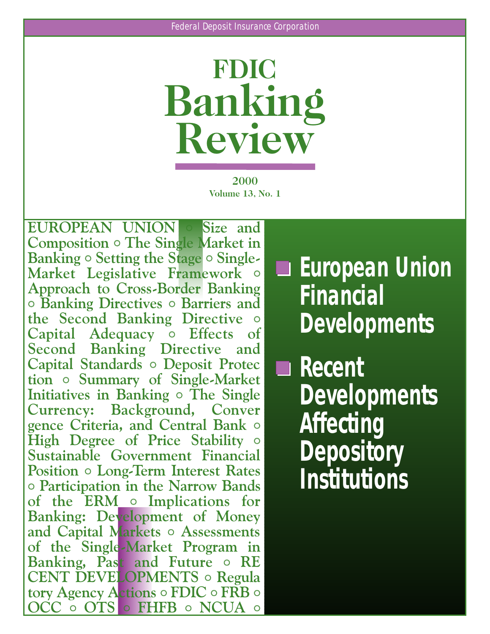

**2000 Volume 13, No. 1**

**EUROPEAN UNION** <sup>o</sup> **Size and Composition** <sup>o</sup> **The Single Market in Banking** <sup>o</sup> **Setting the Stage** <sup>o</sup> **Single Market Legislative Framework** <sup>o</sup> **Approach to Cross Border Banking** <sup>o</sup> **Banking Directives** <sup>o</sup> **Barriers and the Second Banking Directive** <sup>o</sup> **Capital Adequacy o Effects of Second Banking Directive and Capital Standards** <sup>o</sup> **Deposit Protec tion** <sup>o</sup> **Summary of Single Market Initiatives in Banking** <sup>o</sup> **The Single Currency: Background, Conver gence Criteria, and Central Bank** <sup>o</sup> **High Degree of Price Stability** <sup>o</sup> Sustainable Government Financial **Position**  $\circ$  **Long-Term Interest Rates** <sup>o</sup> **Participation in the Narrow Bands of the ERM** <sup>o</sup> **Implications for Banking: Development of Money and Capital Markets** <sup>o</sup> **Assessments of the Single Market Program in Banking, Past and Future** <sup>o</sup> **RE CENT DEVELOPMENTS** <sup>o</sup> **Regula tory Agency Actions** <sup>o</sup> **FDIC** <sup>o</sup> **FRB** <sup>o</sup> **OCC** <sup>o</sup> **OTS** <sup>o</sup> **FHFB** <sup>o</sup> **NCUA** <sup>o</sup>

**European Union Financial Developments** 

**Recent Developments Affecting Depository Institutions**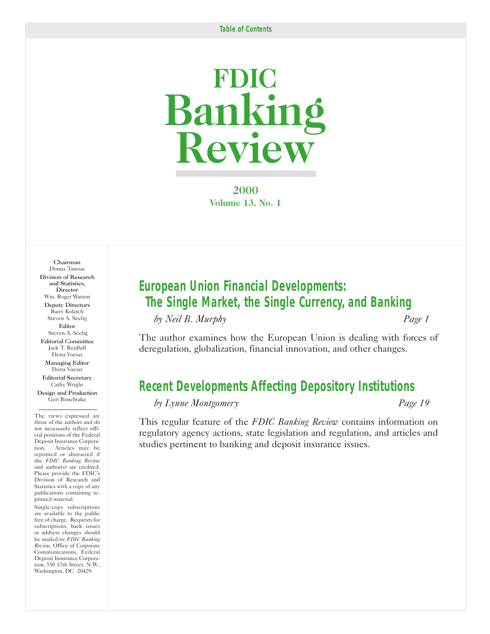# **FDIC Banking Review**

**2000 Volume 13, No. 1**

Chairman Donna Tanoue Division of Research and Statistics, **Director** Wm. Roger Watson Deputy Directors Barry Kolatch Steven A. Seelig Editor Steven A. Seelig Editorial Committee Jack T. Reidhill Detta Voesar Managing Editor Detta Voesar Editorial Secretary

Cathy Wright Design and Production Geri Bonebrake

The views expressed are those of the authors and do not necessarily reflect official positions of the Federal Deposit Insurance Corporation. Articles may be reprinted or abstracted if the *FDIC Banking Review*  and author(s) are credited. Please provide the FDIC's Division of Research and Statistics with a copy of any publications containing reprinted material.

Single-copy subscriptions are available to the public free of charge. Requests for subscriptions, back issues or address changes should be mailed to: *FDIC Banking Review*, Office of Corporate Communications, Federal Deposit Insurance Corporation, 550 17th Street, N.W., Washington, DC 20429.

# *European Union Financial Developments: [The Single Market, the Single Currency, and Banking](#page-2-0)*

*by Neil B. Murphy Page 1* 

The author examines how the European Union is dealing with forces of deregulation, globalization, financial innovation, and other changes.

# *[Recent Developments Affecting Depository Institutions](#page-20-0)*

*by Lynne Montgomery Page 19* 

This regular feature of the *FDIC Banking Review* contains information on regulatory agency actions, state legislation and regulation, and articles and studies pertinent to banking and deposit insurance issues.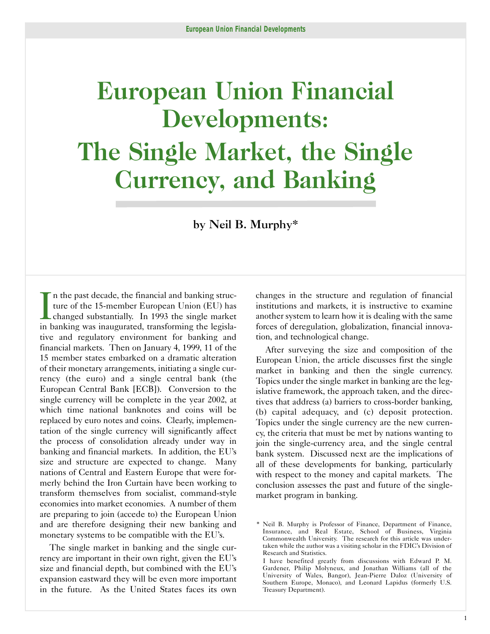# <span id="page-2-0"></span>**European Union Financial Developments: The Single Market, the Single Currency, and Banking**

by Neil B. Murphy\*

In the past decade, the financial and banking structure of the 15-member European Union (EU) has changed substantially. In 1993 the single market in banking was inaugurated, transforming the legislan the past decade, the financial and banking structure of the 15-member European Union (EU) has changed substantially. In 1993 the single market tive and regulatory environment for banking and financial markets. Then on January 4, 1999, 11 of the 15 member states embarked on a dramatic alteration of their monetary arrangements, initiating a single currency (the euro) and a single central bank (the European Central Bank [ECB]). Conversion to the single currency will be complete in the year 2002, at which time national banknotes and coins will be replaced by euro notes and coins. Clearly, implementation of the single currency will significantly affect the process of consolidation already under way in banking and financial markets. In addition, the EU's size and structure are expected to change. Many nations of Central and Eastern Europe that were formerly behind the Iron Curtain have been working to transform themselves from socialist, command-style economies into market economies. A number of them are preparing to join (accede to) the European Union and are therefore designing their new banking and monetary systems to be compatible with the EU's.

The single market in banking and the single currency are important in their own right, given the EU's size and financial depth, but combined with the EU's expansion eastward they will be even more important in the future. As the United States faces its own changes in the structure and regulation of financial institutions and markets, it is instructive to examine another system to learn how it is dealing with the same forces of deregulation, globalization, financial innovation, and technological change.

After surveying the size and composition of the European Union, the article discusses first the single market in banking and then the single currency. Topics under the single market in banking are the legislative framework, the approach taken, and the directives that address (a) barriers to cross-border banking, (b) capital adequacy, and (c) deposit protection. Topics under the single currency are the new currency, the criteria that must be met by nations wanting to join the single-currency area, and the single central bank system. Discussed next are the implications of all of these developments for banking, particularly with respect to the money and capital markets. The conclusion assesses the past and future of the singlemarket program in banking.

<sup>\*</sup> Neil B. Murphy is Professor of Finance, Department of Finance, Insurance, and Real Estate, School of Business, Virginia Commonwealth University. The research for this article was undertaken while the author was a visiting scholar in the FDIC's Division of Research and Statistics.

I have benefited greatly from discussions with Edward P. M. Gardener, Philip Molyneux, and Jonathan Williams (all of the University of Wales, Bangor), Jean-Pierre Daloz (University of Southern Europe, Monaco), and Leonard Lapidus (formerly U.S. Treasury Department).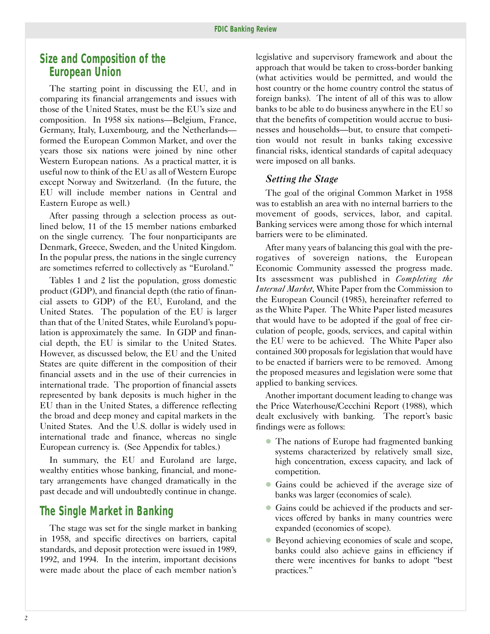## *Size and Composition of the European Union*

The starting point in discussing the EU, and in comparing its financial arrangements and issues with those of the United States, must be the EU's size and composition. In 1958 six nations—Belgium, France, Germany, Italy, Luxembourg, and the Netherlands formed the European Common Market, and over the years those six nations were joined by nine other Western European nations. As a practical matter, it is useful now to think of the EU as all of Western Europe except Norway and Switzerland. (In the future, the EU will include member nations in Central and Eastern Europe as well.)

After passing through a selection process as outlined below, 11 of the 15 member nations embarked on the single currency. The four nonparticipants are Denmark, Greece, Sweden, and the United Kingdom. In the popular press, the nations in the single currency are sometimes referred to collectively as "Euroland."

Tables 1 and 2 list the population, gross domestic product (GDP), and financial depth (the ratio of financial assets to GDP) of the EU, Euroland, and the United States. The population of the EU is larger than that of the United States, while Euroland's population is approximately the same. In GDP and financial depth, the EU is similar to the United States. However, as discussed below, the EU and the United States are quite different in the composition of their financial assets and in the use of their currencies in international trade. The proportion of financial assets represented by bank deposits is much higher in the EU than in the United States, a difference reflecting the broad and deep money and capital markets in the United States. And the U.S. dollar is widely used in international trade and finance, whereas no single European currency is. (See Appendix for tables.)

In summary, the EU and Euroland are large, wealthy entities whose banking, financial, and monetary arrangements have changed dramatically in the past decade and will undoubtedly continue in change.

# *The Single Market in Banking*

The stage was set for the single market in banking in 1958, and specific directives on barriers, capital standards, and deposit protection were issued in 1989, 1992, and 1994. In the interim, important decisions were made about the place of each member nation's legislative and supervisory framework and about the approach that would be taken to cross-border banking (what activities would be permitted, and would the host country or the home country control the status of foreign banks). The intent of all of this was to allow banks to be able to do business anywhere in the EU so that the benefits of competition would accrue to businesses and households—but, to ensure that competition would not result in banks taking excessive financial risks, identical standards of capital adequacy were imposed on all banks.

#### *Setting the Stage*

The goal of the original Common Market in 1958 was to establish an area with no internal barriers to the movement of goods, services, labor, and capital. Banking services were among those for which internal barriers were to be eliminated.

After many years of balancing this goal with the prerogatives of sovereign nations, the European Economic Community assessed the progress made. Its assessment was published in *Completing the Internal Market*, White Paper from the Commission to the European Council (1985), hereinafter referred to as the White Paper. The White Paper listed measures that would have to be adopted if the goal of free circulation of people, goods, services, and capital within the EU were to be achieved. The White Paper also contained 300 proposals for legislation that would have to be enacted if barriers were to be removed. Among the proposed measures and legislation were some that applied to banking services.

Another important document leading to change was the Price Waterhouse/Cecchini Report (1988), which dealt exclusively with banking. The report's basic findings were as follows:

- � The nations of Europe had fragmented banking systems characterized by relatively small size, high concentration, excess capacity, and lack of competition.
- � Gains could be achieved if the average size of banks was larger (economies of scale).
- � Gains could be achieved if the products and services offered by banks in many countries were expanded (economies of scope).
- � Beyond achieving economies of scale and scope, banks could also achieve gains in efficiency if there were incentives for banks to adopt "best practices."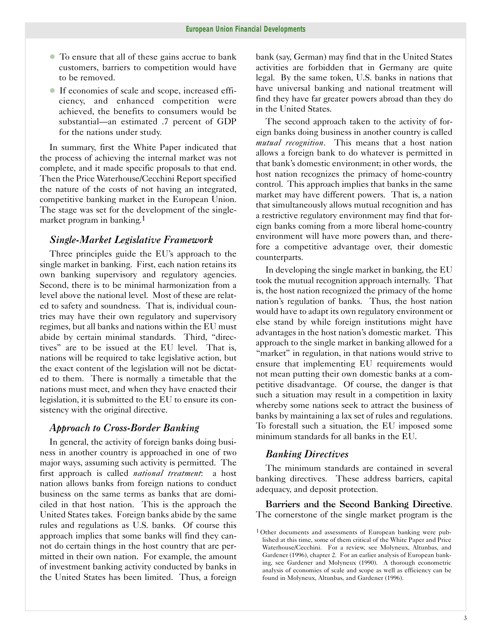- � To ensure that all of these gains accrue to bank customers, barriers to competition would have to be removed.
- � If economies of scale and scope, increased efficiency, and enhanced competition were achieved, the benefits to consumers would be substantial—an estimated .7 percent of GDP for the nations under study.

In summary, first the White Paper indicated that the process of achieving the internal market was not complete, and it made specific proposals to that end. Then the Price Waterhouse/Cecchini Report specified the nature of the costs of not having an integrated, competitive banking market in the European Union. The stage was set for the development of the singlemarket program in banking.1

#### *Single-Market Legislative Framework*

Three principles guide the EU's approach to the single market in banking. First, each nation retains its own banking supervisory and regulatory agencies. Second, there is to be minimal harmonization from a level above the national level. Most of these are related to safety and soundness. That is, individual countries may have their own regulatory and supervisory regimes, but all banks and nations within the EU must abide by certain minimal standards. Third, "directives" are to be issued at the EU level. That is, nations will be required to take legislative action, but the exact content of the legislation will not be dictated to them. There is normally a timetable that the nations must meet, and when they have enacted their legislation, it is submitted to the EU to ensure its consistency with the original directive.

#### *Approach to Cross-Border Banking*

In general, the activity of foreign banks doing business in another country is approached in one of two major ways, assuming such activity is permitted. The first approach is called *national treatment*: a host nation allows banks from foreign nations to conduct business on the same terms as banks that are domiciled in that host nation. This is the approach the United States takes. Foreign banks abide by the same rules and regulations as U.S. banks. Of course this approach implies that some banks will find they cannot do certain things in the host country that are permitted in their own nation. For example, the amount of investment banking activity conducted by banks in the United States has been limited. Thus, a foreign

bank (say, German) may find that in the United States activities are forbidden that in Germany are quite legal. By the same token, U.S. banks in nations that have universal banking and national treatment will find they have far greater powers abroad than they do in the United States.

The second approach taken to the activity of foreign banks doing business in another country is called *mutual recognition*. This means that a host nation allows a foreign bank to do whatever is permitted in that bank's domestic environment; in other words, the host nation recognizes the primacy of home-country control. This approach implies that banks in the same market may have different powers. That is, a nation that simultaneously allows mutual recognition and has a restrictive regulatory environment may find that foreign banks coming from a more liberal home-country environment will have more powers than, and therefore a competitive advantage over, their domestic counterparts.

In developing the single market in banking, the EU took the mutual recognition approach internally. That is, the host nation recognized the primacy of the home nation's regulation of banks. Thus, the host nation would have to adapt its own regulatory environment or else stand by while foreign institutions might have advantages in the host nation's domestic market. This approach to the single market in banking allowed for a "market" in regulation, in that nations would strive to ensure that implementing EU requirements would not mean putting their own domestic banks at a competitive disadvantage. Of course, the danger is that such a situation may result in a competition in laxity whereby some nations seek to attract the business of banks by maintaining a lax set of rules and regulations. To forestall such a situation, the EU imposed some minimum standards for all banks in the EU.

### *Banking Directives*

The minimum standards are contained in several banking directives. These address barriers, capital adequacy, and deposit protection.

Barriers and the Second Banking Directive. The cornerstone of the single market program is the

<sup>1</sup> Other documents and assessments of European banking were published at this time, some of them critical of the White Paper and Price Waterhouse/Cecchini. For a review, see Molyneux, Altunbas, and Gardener (1996), chapter 2. For an earlier analysis of European banking, see Gardener and Molyneux (1990). A thorough econometric analysis of economies of scale and scope as well as efficiency can be found in Molyneux, Altunbas, and Gardener (1996).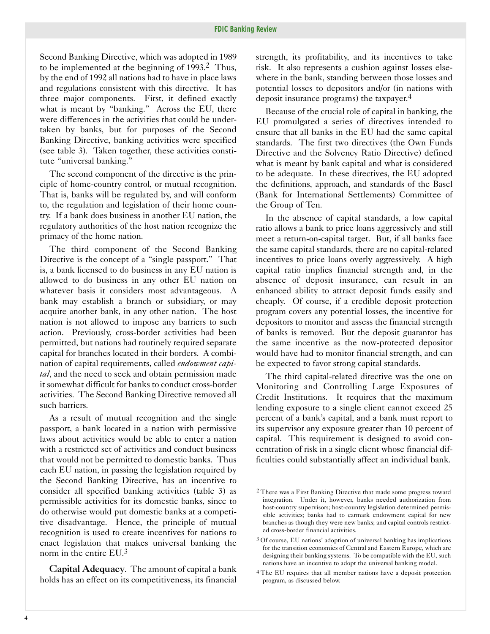Second Banking Directive, which was adopted in 1989 to be implemented at the beginning of 1993.2 Thus, by the end of 1992 all nations had to have in place laws and regulations consistent with this directive. It has three major components. First, it defined exactly what is meant by "banking." Across the EU, there were differences in the activities that could be undertaken by banks, but for purposes of the Second Banking Directive, banking activities were specified (see table 3). Taken together, these activities constitute "universal banking."

The second component of the directive is the principle of home-country control, or mutual recognition. That is, banks will be regulated by, and will conform to, the regulation and legislation of their home country. If a bank does business in another EU nation, the regulatory authorities of the host nation recognize the primacy of the home nation.

The third component of the Second Banking Directive is the concept of a "single passport." That is, a bank licensed to do business in any EU nation is allowed to do business in any other EU nation on whatever basis it considers most advantageous. A bank may establish a branch or subsidiary, or may acquire another bank, in any other nation. The host nation is not allowed to impose any barriers to such action. Previously, cross-border activities had been permitted, but nations had routinely required separate capital for branches located in their borders. A combination of capital requirements, called *endowment capital*, and the need to seek and obtain permission made it somewhat difficult for banks to conduct cross-border activities. The Second Banking Directive removed all such barriers.

As a result of mutual recognition and the single passport, a bank located in a nation with permissive laws about activities would be able to enter a nation with a restricted set of activities and conduct business that would not be permitted to domestic banks. Thus each EU nation, in passing the legislation required by the Second Banking Directive, has an incentive to consider all specified banking activities (table 3) as permissible activities for its domestic banks, since to do otherwise would put domestic banks at a competitive disadvantage. Hence, the principle of mutual recognition is used to create incentives for nations to enact legislation that makes universal banking the norm in the entire EU.3

Capital Adequacy. The amount of capital a bank holds has an effect on its competitiveness, its financial strength, its profitability, and its incentives to take risk. It also represents a cushion against losses elsewhere in the bank, standing between those losses and potential losses to depositors and/or (in nations with deposit insurance programs) the taxpayer.4

Because of the crucial role of capital in banking, the EU promulgated a series of directives intended to ensure that all banks in the EU had the same capital standards. The first two directives (the Own Funds Directive and the Solvency Ratio Directive) defined what is meant by bank capital and what is considered to be adequate. In these directives, the EU adopted the definitions, approach, and standards of the Basel (Bank for International Settlements) Committee of the Group of Ten.

In the absence of capital standards, a low capital ratio allows a bank to price loans aggressively and still meet a return-on-capital target. But, if all banks face the same capital standards, there are no capital-related incentives to price loans overly aggressively. A high capital ratio implies financial strength and, in the absence of deposit insurance, can result in an enhanced ability to attract deposit funds easily and cheaply. Of course, if a credible deposit protection program covers any potential losses, the incentive for depositors to monitor and assess the financial strength of banks is removed. But the deposit guarantor has the same incentive as the now-protected depositor would have had to monitor financial strength, and can be expected to favor strong capital standards.

The third capital-related directive was the one on Monitoring and Controlling Large Exposures of Credit Institutions. It requires that the maximum lending exposure to a single client cannot exceed 25 percent of a bank's capital, and a bank must report to its supervisor any exposure greater than 10 percent of capital. This requirement is designed to avoid concentration of risk in a single client whose financial difficulties could substantially affect an individual bank.

<sup>2</sup> There was a First Banking Directive that made some progress toward integration. Under it, however, banks needed authorization from host-country supervisors; host-country legislation determined permissible activities; banks had to earmark endowment capital for new branches as though they were new banks; and capital controls restricted cross-border financial activities.

<sup>3</sup> Of course, EU nations' adoption of universal banking has implications for the transition economies of Central and Eastern Europe, which are designing their banking systems. To be compatible with the EU, such nations have an incentive to adopt the universal banking model.

<sup>4</sup> The EU requires that all member nations have a deposit protection program, as discussed below.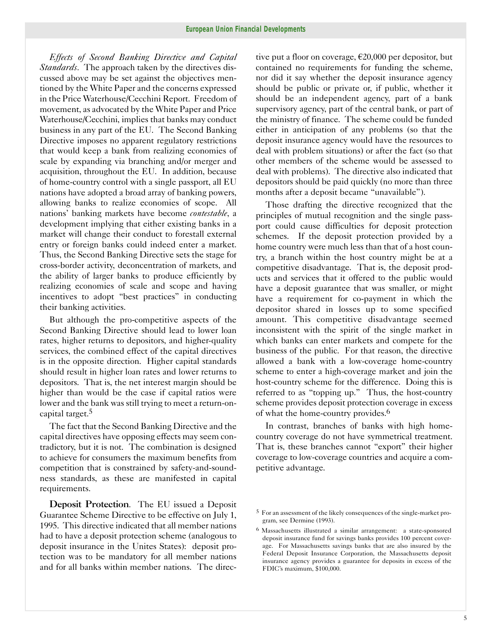*Effects of Second Banking Directive and Capital Standards*. The approach taken by the directives discussed above may be set against the objectives mentioned by the White Paper and the concerns expressed in the Price Waterhouse/Cecchini Report. Freedom of movement, as advocated by the White Paper and Price Waterhouse/Cecchini, implies that banks may conduct business in any part of the EU. The Second Banking Directive imposes no apparent regulatory restrictions that would keep a bank from realizing economies of scale by expanding via branching and/or merger and acquisition, throughout the EU. In addition, because of home-country control with a single passport, all EU nations have adopted a broad array of banking powers, allowing banks to realize economies of scope. All nations' banking markets have become *contestable*, a development implying that either existing banks in a market will change their conduct to forestall external entry or foreign banks could indeed enter a market. Thus, the Second Banking Directive sets the stage for cross-border activity, deconcentration of markets, and the ability of larger banks to produce efficiently by realizing economies of scale and scope and having incentives to adopt "best practices" in conducting their banking activities.

But although the pro-competitive aspects of the Second Banking Directive should lead to lower loan rates, higher returns to depositors, and higher-quality services, the combined effect of the capital directives is in the opposite direction. Higher capital standards should result in higher loan rates and lower returns to depositors. That is, the net interest margin should be higher than would be the case if capital ratios were lower and the bank was still trying to meet a return-oncapital target.5

The fact that the Second Banking Directive and the capital directives have opposing effects may seem contradictory, but it is not. The combination is designed to achieve for consumers the maximum benefits from competition that is constrained by safety-and-soundness standards, as these are manifested in capital requirements.

Deposit Protection. The EU issued a Deposit Guarantee Scheme Directive to be effective on July 1, 1995. This directive indicated that all member nations had to have a deposit protection scheme (analogous to deposit insurance in the Unites States): deposit protection was to be mandatory for all member nations and for all banks within member nations. The direc-

tive put a floor on coverage,  $\epsilon$ 20,000 per depositor, but contained no requirements for funding the scheme, nor did it say whether the deposit insurance agency should be public or private or, if public, whether it should be an independent agency, part of a bank supervisory agency, part of the central bank, or part of the ministry of finance. The scheme could be funded either in anticipation of any problems (so that the deposit insurance agency would have the resources to deal with problem situations) or after the fact (so that other members of the scheme would be assessed to deal with problems). The directive also indicated that depositors should be paid quickly (no more than three months after a deposit became "unavailable").

Those drafting the directive recognized that the principles of mutual recognition and the single passport could cause difficulties for deposit protection schemes. If the deposit protection provided by a home country were much less than that of a host country, a branch within the host country might be at a competitive disadvantage. That is, the deposit products and services that it offered to the public would have a deposit guarantee that was smaller, or might have a requirement for co-payment in which the depositor shared in losses up to some specified amount. This competitive disadvantage seemed inconsistent with the spirit of the single market in which banks can enter markets and compete for the business of the public. For that reason, the directive allowed a bank with a low-coverage home-country scheme to enter a high-coverage market and join the host-country scheme for the difference. Doing this is referred to as "topping up." Thus, the host-country scheme provides deposit protection coverage in excess of what the home-country provides.6

In contrast, branches of banks with high homecountry coverage do not have symmetrical treatment. That is, these branches cannot "export" their higher coverage to low-coverage countries and acquire a competitive advantage.

<sup>5</sup> For an assessment of the likely consequences of the single-market program, see Dermine (1993).

<sup>&</sup>lt;sup>6</sup> Massachusetts illustrated a similar arrangement: a state-sponsored deposit insurance fund for savings banks provides 100 percent coverage. For Massachusetts savings banks that are also insured by the Federal Deposit Insurance Corporation, the Massachusetts deposit insurance agency provides a guarantee for deposits in excess of the FDIC's maximum, \$100,000.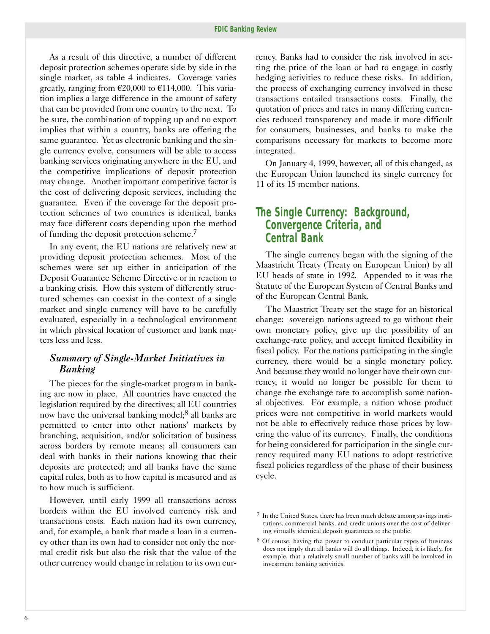As a result of this directive, a number of different deposit protection schemes operate side by side in the single market, as table 4 indicates. Coverage varies greatly, ranging from  $\epsilon$ 20,000 to  $\epsilon$ 114,000. This variation implies a large difference in the amount of safety that can be provided from one country to the next. To be sure, the combination of topping up and no export implies that within a country, banks are offering the same guarantee. Yet as electronic banking and the single currency evolve, consumers will be able to access banking services originating anywhere in the EU, and the competitive implications of deposit protection may change. Another important competitive factor is the cost of delivering deposit services, including the guarantee. Even if the coverage for the deposit protection schemes of two countries is identical, banks may face different costs depending upon the method of funding the deposit protection scheme.7

In any event, the EU nations are relatively new at providing deposit protection schemes. Most of the schemes were set up either in anticipation of the Deposit Guarantee Scheme Directive or in reaction to a banking crisis. How this system of differently structured schemes can coexist in the context of a single market and single currency will have to be carefully evaluated, especially in a technological environment in which physical location of customer and bank matters less and less.

### *Summary of Single-Market Initiatives in Banking*

The pieces for the single-market program in banking are now in place. All countries have enacted the legislation required by the directives; all EU countries now have the universal banking model;<sup>8</sup> all banks are permitted to enter into other nations' markets by branching, acquisition, and/or solicitation of business across borders by remote means; all consumers can deal with banks in their nations knowing that their deposits are protected; and all banks have the same capital rules, both as to how capital is measured and as to how much is sufficient.

However, until early 1999 all transactions across borders within the EU involved currency risk and transactions costs. Each nation had its own currency, and, for example, a bank that made a loan in a currency other than its own had to consider not only the normal credit risk but also the risk that the value of the other currency would change in relation to its own cur-

rency. Banks had to consider the risk involved in setting the price of the loan or had to engage in costly hedging activities to reduce these risks. In addition, the process of exchanging currency involved in these transactions entailed transactions costs. Finally, the quotation of prices and rates in many differing currencies reduced transparency and made it more difficult for consumers, businesses, and banks to make the comparisons necessary for markets to become more integrated.

On January 4, 1999, however, all of this changed, as the European Union launched its single currency for 11 of its 15 member nations.

# *The Single Currency: Background, Convergence Criteria, and Central Bank*

The single currency began with the signing of the Maastricht Treaty (Treaty on European Union) by all EU heads of state in 1992. Appended to it was the Statute of the European System of Central Banks and of the European Central Bank.

The Maastrict Treaty set the stage for an historical change: sovereign nations agreed to go without their own monetary policy, give up the possibility of an exchange-rate policy, and accept limited flexibility in fiscal policy. For the nations participating in the single currency, there would be a single monetary policy. And because they would no longer have their own currency, it would no longer be possible for them to change the exchange rate to accomplish some national objectives. For example, a nation whose product prices were not competitive in world markets would not be able to effectively reduce those prices by lowering the value of its currency. Finally, the conditions for being considered for participation in the single currency required many EU nations to adopt restrictive fiscal policies regardless of the phase of their business cycle.

<sup>7</sup> In the United States, there has been much debate among savings institutions, commercial banks, and credit unions over the cost of delivering virtually identical deposit guarantees to the public.

<sup>8</sup> Of course, having the power to conduct particular types of business does not imply that all banks will do all things. Indeed, it is likely, for example, that a relatively small number of banks will be involved in investment banking activities.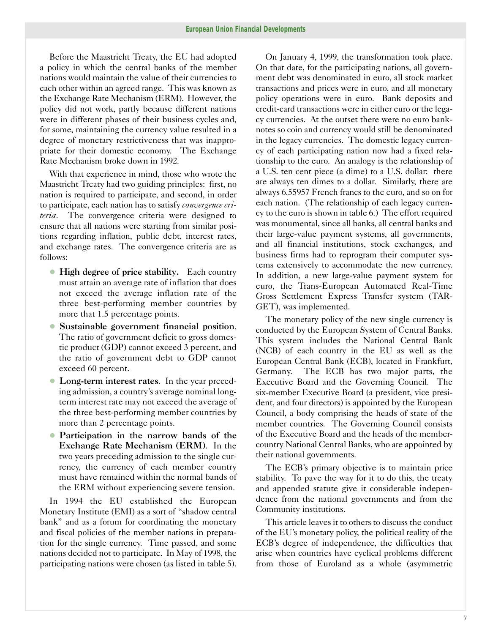Before the Maastricht Treaty, the EU had adopted a policy in which the central banks of the member nations would maintain the value of their currencies to each other within an agreed range. This was known as the Exchange Rate Mechanism (ERM). However, the policy did not work, partly because different nations were in different phases of their business cycles and, for some, maintaining the currency value resulted in a degree of monetary restrictiveness that was inappropriate for their domestic economy. The Exchange Rate Mechanism broke down in 1992.

With that experience in mind, those who wrote the Maastricht Treaty had two guiding principles: first, no nation is required to participate, and second, in order to participate, each nation has to satisfy *convergence criteria*. The convergence criteria were designed to ensure that all nations were starting from similar positions regarding inflation, public debt, interest rates, and exchange rates. The convergence criteria are as follows:

- High degree of price stability. Each country must attain an average rate of inflation that does not exceed the average inflation rate of the three best-performing member countries by more that 1.5 percentage points.
- � Sustainable government financial position. The ratio of government deficit to gross domestic product (GDP) cannot exceed 3 percent, and the ratio of government debt to GDP cannot exceed 60 percent.
- Long-term interest rates. In the year preceding admission, a country's average nominal longterm interest rate may not exceed the average of the three best-performing member countries by more than 2 percentage points.
- Participation in the narrow bands of the Exchange Rate Mechanism (ERM). In the two years preceding admission to the single currency, the currency of each member country must have remained within the normal bands of the ERM without experiencing severe tension.

In 1994 the EU established the European Monetary Institute (EMI) as a sort of "shadow central bank" and as a forum for coordinating the monetary and fiscal policies of the member nations in preparation for the single currency. Time passed, and some nations decided not to participate. In May of 1998, the participating nations were chosen (as listed in table 5).

On January 4, 1999, the transformation took place. On that date, for the participating nations, all government debt was denominated in euro, all stock market transactions and prices were in euro, and all monetary policy operations were in euro. Bank deposits and credit-card transactions were in either euro or the legacy currencies. At the outset there were no euro banknotes so coin and currency would still be denominated in the legacy currencies. The domestic legacy currency of each participating nation now had a fixed relationship to the euro. An analogy is the relationship of a U.S. ten cent piece (a dime) to a U.S. dollar: there are always ten dimes to a dollar. Similarly, there are always 6.55957 French francs to the euro, and so on for each nation. (The relationship of each legacy currency to the euro is shown in table 6.) The effort required was monumental, since all banks, all central banks and their large-value payment systems, all governments, and all financial institutions, stock exchanges, and business firms had to reprogram their computer systems extensively to accommodate the new currency. In addition, a new large-value payment system for euro, the Trans-European Automated Real-Time Gross Settlement Express Transfer system (TAR-GET), was implemented.

The monetary policy of the new single currency is conducted by the European System of Central Banks. This system includes the National Central Bank (NCB) of each country in the EU as well as the European Central Bank (ECB), located in Frankfurt, Germany. The ECB has two major parts, the Executive Board and the Governing Council. The six-member Executive Board (a president, vice president, and four directors) is appointed by the European Council, a body comprising the heads of state of the member countries. The Governing Council consists of the Executive Board and the heads of the membercountry National Central Banks, who are appointed by their national governments.

The ECB's primary objective is to maintain price stability. To pave the way for it to do this, the treaty and appended statute give it considerable independence from the national governments and from the Community institutions.

This article leaves it to others to discuss the conduct of the EU's monetary policy, the political reality of the ECB's degree of independence, the difficulties that arise when countries have cyclical problems different from those of Euroland as a whole (asymmetric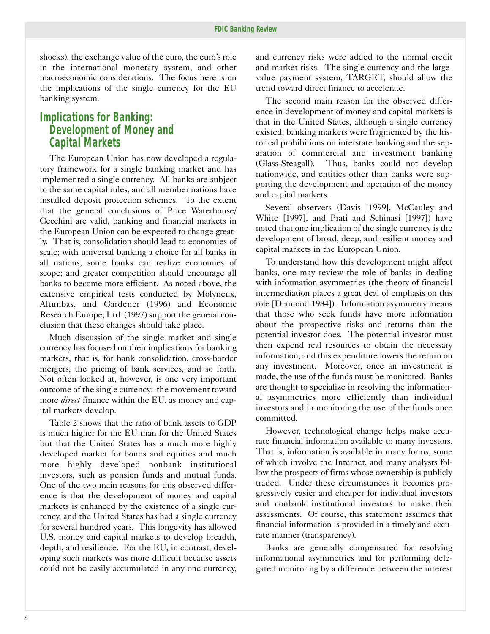shocks), the exchange value of the euro, the euro's role in the international monetary system, and other macroeconomic considerations. The focus here is on the implications of the single currency for the EU banking system.

# *Implications for Banking: Development of Money and Capital Markets*

The European Union has now developed a regulatory framework for a single banking market and has implemented a single currency. All banks are subject to the same capital rules, and all member nations have installed deposit protection schemes. To the extent that the general conclusions of Price Waterhouse/ Cecchini are valid, banking and financial markets in the European Union can be expected to change greatly. That is, consolidation should lead to economies of scale; with universal banking a choice for all banks in all nations, some banks can realize economies of scope; and greater competition should encourage all banks to become more efficient. As noted above, the extensive empirical tests conducted by Molyneux, Altunbas, and Gardener (1996) and Economic Research Europe, Ltd. (1997) support the general conclusion that these changes should take place.

Much discussion of the single market and single currency has focused on their implications for banking markets, that is, for bank consolidation, cross-border mergers, the pricing of bank services, and so forth. Not often looked at, however, is one very important outcome of the single currency: the movement toward more *direct* finance within the EU, as money and capital markets develop.

Table 2 shows that the ratio of bank assets to GDP is much higher for the EU than for the United States but that the United States has a much more highly developed market for bonds and equities and much more highly developed nonbank institutional investors, such as pension funds and mutual funds. One of the two main reasons for this observed difference is that the development of money and capital markets is enhanced by the existence of a single currency, and the United States has had a single currency for several hundred years. This longevity has allowed U.S. money and capital markets to develop breadth, depth, and resilience. For the EU, in contrast, developing such markets was more difficult because assets could not be easily accumulated in any one currency, and currency risks were added to the normal credit and market risks. The single currency and the largevalue payment system, TARGET, should allow the trend toward direct finance to accelerate.

The second main reason for the observed difference in development of money and capital markets is that in the United States, although a single currency existed, banking markets were fragmented by the historical prohibitions on interstate banking and the separation of commercial and investment banking (Glass-Steagall). Thus, banks could not develop nationwide, and entities other than banks were supporting the development and operation of the money and capital markets.

Several observers (Davis [1999], McCauley and White [1997], and Prati and Schinasi [1997]) have noted that one implication of the single currency is the development of broad, deep, and resilient money and capital markets in the European Union.

To understand how this development might affect banks, one may review the role of banks in dealing with information asymmetries (the theory of financial intermediation places a great deal of emphasis on this role [Diamond 1984]). Information asymmetry means that those who seek funds have more information about the prospective risks and returns than the potential investor does. The potential investor must then expend real resources to obtain the necessary information, and this expenditure lowers the return on any investment. Moreover, once an investment is made, the use of the funds must be monitored. Banks are thought to specialize in resolving the informational asymmetries more efficiently than individual investors and in monitoring the use of the funds once committed.

However, technological change helps make accurate financial information available to many investors. That is, information is available in many forms, some of which involve the Internet, and many analysts follow the prospects of firms whose ownership is publicly traded. Under these circumstances it becomes progressively easier and cheaper for individual investors and nonbank institutional investors to make their assessments. Of course, this statement assumes that financial information is provided in a timely and accurate manner (transparency).

Banks are generally compensated for resolving informational asymmetries and for performing delegated monitoring by a difference between the interest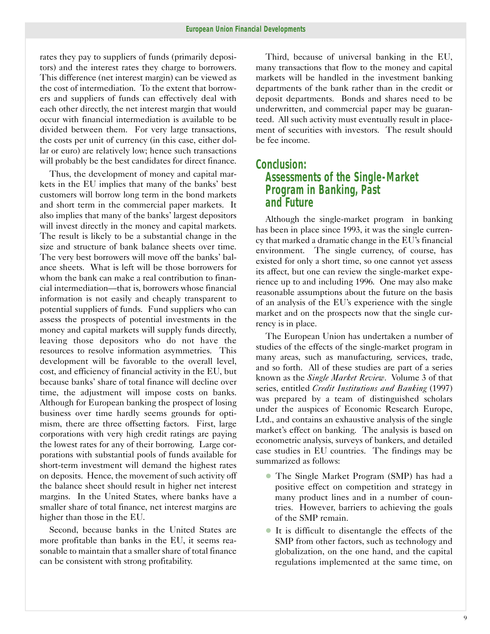rates they pay to suppliers of funds (primarily depositors) and the interest rates they charge to borrowers. This difference (net interest margin) can be viewed as the cost of intermediation. To the extent that borrowers and suppliers of funds can effectively deal with each other directly, the net interest margin that would occur with financial intermediation is available to be divided between them. For very large transactions, the costs per unit of currency (in this case, either dollar or euro) are relatively low; hence such transactions will probably be the best candidates for direct finance.

Thus, the development of money and capital markets in the EU implies that many of the banks' best customers will borrow long term in the bond markets and short term in the commercial paper markets. It also implies that many of the banks' largest depositors will invest directly in the money and capital markets. The result is likely to be a substantial change in the size and structure of bank balance sheets over time. The very best borrowers will move off the banks' balance sheets. What is left will be those borrowers for whom the bank can make a real contribution to financial intermediation—that is, borrowers whose financial information is not easily and cheaply transparent to potential suppliers of funds. Fund suppliers who can assess the prospects of potential investments in the money and capital markets will supply funds directly, leaving those depositors who do not have the resources to resolve information asymmetries. This development will be favorable to the overall level, cost, and efficiency of financial activity in the EU, but because banks' share of total finance will decline over time, the adjustment will impose costs on banks. Although for European banking the prospect of losing business over time hardly seems grounds for optimism, there are three offsetting factors. First, large corporations with very high credit ratings are paying the lowest rates for any of their borrowing. Large corporations with substantial pools of funds available for short-term investment will demand the highest rates on deposits. Hence, the movement of such activity off the balance sheet should result in higher net interest margins. In the United States, where banks have a smaller share of total finance, net interest margins are higher than those in the EU.

Second, because banks in the United States are more profitable than banks in the EU, it seems reasonable to maintain that a smaller share of total finance can be consistent with strong profitability.

Third, because of universal banking in the EU, many transactions that flow to the money and capital markets will be handled in the investment banking departments of the bank rather than in the credit or deposit departments. Bonds and shares need to be underwritten, and commercial paper may be guaranteed. All such activity must eventually result in placement of securities with investors. The result should be fee income.

# *Conclusion: Assessments of the Single-Market Program in Banking, Past and Future*

Although the single-market program in banking has been in place since 1993, it was the single currency that marked a dramatic change in the EU's financial environment. The single currency, of course, has existed for only a short time, so one cannot yet assess its affect, but one can review the single-market experience up to and including 1996. One may also make reasonable assumptions about the future on the basis of an analysis of the EU's experience with the single market and on the prospects now that the single currency is in place.

The European Union has undertaken a number of studies of the effects of the single-market program in many areas, such as manufacturing, services, trade, and so forth. All of these studies are part of a series known as the *Single Market Review*. Volume 3 of that series, entitled *Credit Institutions and Banking* (1997) was prepared by a team of distinguished scholars under the auspices of Economic Research Europe, Ltd., and contains an exhaustive analysis of the single market's effect on banking. The analysis is based on econometric analysis, surveys of bankers, and detailed case studies in EU countries. The findings may be summarized as follows:

- � The Single Market Program (SMP) has had a positive effect on competition and strategy in many product lines and in a number of countries. However, barriers to achieving the goals of the SMP remain.
- � It is difficult to disentangle the effects of the SMP from other factors, such as technology and globalization, on the one hand, and the capital regulations implemented at the same time, on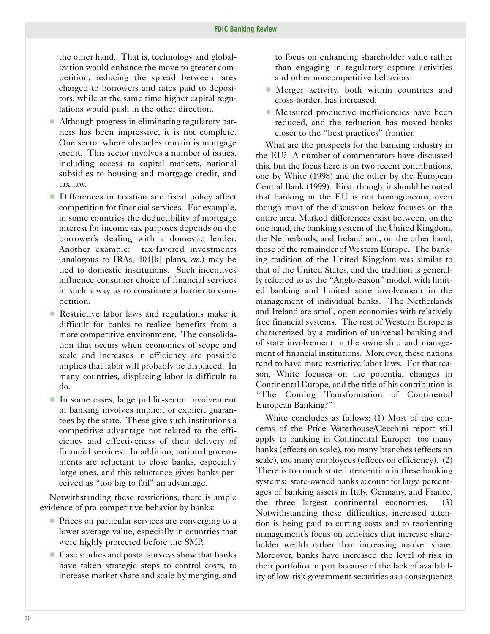the other hand. That is, technology and globalization would enhance the move to greater competition, reducing the spread between rates charged to borrowers and rates paid to depositors, while at the same time higher capital regulations would push in the other direction.

- � Although progress in eliminating regulatory barriers has been impressive, it is not complete. One sector where obstacles remain is mortgage credit. This sector involves a number of issues, including access to capital markets, national subsidies to housing and mortgage credit, and tax law.
- � Differences in taxation and fiscal policy affect competition for financial services. For example, in some countries the deductibility of mortgage interest for income tax purposes depends on the borrower's dealing with a domestic lender. Another example: tax-favored investments (analogous to IRAs, 401[k] plans, *etc.*) may be tied to domestic institutions. Such incentives influence consumer choice of financial services in such a way as to constitute a barrier to competition.
- Restrictive labor laws and regulations make it difficult for banks to realize benefits from a more competitive environment. The consolidation that occurs when economies of scope and scale and increases in efficiency are possible implies that labor will probably be displaced. In many countries, displacing labor is difficult to do.
- In some cases, large public-sector involvement in banking involves implicit or explicit guarantees by the state. These give such institutions a competitive advantage not related to the efficiency and effectiveness of their delivery of financial services. In addition, national governments are reluctant to close banks, especially large ones, and this reluctance gives banks perceived as "too big to fail" an advantage.

Notwithstanding these restrictions, there is ample evidence of pro-competitive behavior by banks:

- Prices on particular services are converging to a lower average value, especially in countries that were highly protected before the SMP.
- � Case studies and postal surveys show that banks have taken strategic steps to control costs, to increase market share and scale by merging, and

to focus on enhancing shareholder value rather than engaging in regulatory capture activities and other noncompetitive behaviors.

- � Merger activity, both within countries and cross-border, has increased.
- � Measured productive inefficiencies have been reduced, and the reduction has moved banks closer to the "best practices" frontier.

What are the prospects for the banking industry in the EU? A number of commentators have discussed this, but the focus here is on two recent contributions, one by White (1998) and the other by the European Central Bank (1999). First, though, it should be noted that banking in the EU is not homogeneous, even though most of the discussion below focuses on the entire area. Marked differences exist between, on the one hand, the banking system of the United Kingdom, the Netherlands, and Ireland and, on the other hand, those of the remainder of Western Europe. The banking tradition of the United Kingdom was similar to that of the United States, and the tradition is generally referred to as the "Anglo-Saxon" model, with limited banking and limited state involvement in the management of individual banks. The Netherlands and Ireland are small, open economies with relatively free financial systems. The rest of Western Europe is characterized by a tradition of universal banking and of state involvement in the ownership and management of financial institutions. Moreover, these nations tend to have more restrictive labor laws. For that reason, White focuses on the potential changes in Continental Europe, and the title of his contribution is "The Coming Transformation of Continental European Banking?"

White concludes as follows: (1) Most of the concerns of the Price Waterhouse/Cecchini report still apply to banking in Continental Europe: too many banks (effects on scale), too many branches (effects on scale), too many employees (effects on efficiency). (2) There is too much state intervention in these banking systems: state-owned banks account for large percentages of banking assets in Italy, Germany, and France, the three largest continental economies. (3) Notwithstanding these difficulties, increased attention is being paid to cutting costs and to reorienting management's focus on activities that increase shareholder wealth rather than increasing market share. Moreover, banks have increased the level of risk in their portfolios in part because of the lack of availability of low-risk government securities as a consequence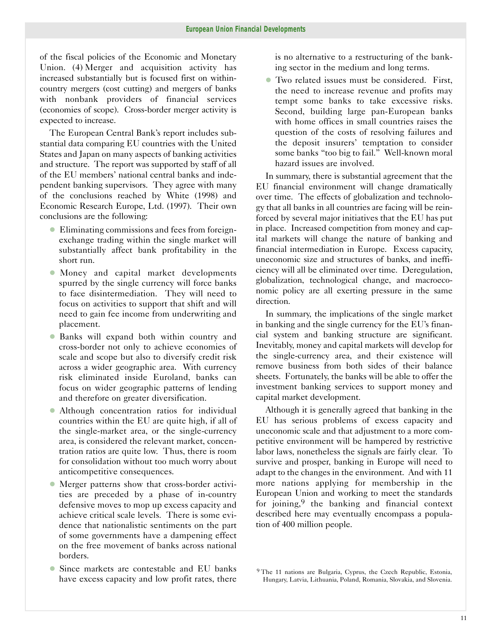of the fiscal policies of the Economic and Monetary Union. (4) Merger and acquisition activity has increased substantially but is focused first on withincountry mergers (cost cutting) and mergers of banks with nonbank providers of financial services (economies of scope). Cross-border merger activity is expected to increase.

The European Central Bank's report includes substantial data comparing EU countries with the United States and Japan on many aspects of banking activities and structure. The report was supported by staff of all of the EU members' national central banks and independent banking supervisors. They agree with many of the conclusions reached by White (1998) and Economic Research Europe, Ltd. (1997). Their own conclusions are the following:

- � Eliminating commissions and fees from foreignexchange trading within the single market will substantially affect bank profitability in the short run.
- � Money and capital market developments spurred by the single currency will force banks to face disintermediation. They will need to focus on activities to support that shift and will need to gain fee income from underwriting and placement.
- � Banks will expand both within country and cross-border not only to achieve economies of scale and scope but also to diversify credit risk across a wider geographic area. With currency risk eliminated inside Euroland, banks can focus on wider geographic patterns of lending and therefore on greater diversification.
- � Although concentration ratios for individual countries within the EU are quite high, if all of the single-market area, or the single-currency area, is considered the relevant market, concentration ratios are quite low. Thus, there is room for consolidation without too much worry about anticompetitive consequences.
- � Merger patterns show that cross-border activities are preceded by a phase of in-country defensive moves to mop up excess capacity and achieve critical scale levels. There is some evidence that nationalistic sentiments on the part of some governments have a dampening effect on the free movement of banks across national borders.
- � Since markets are contestable and EU banks have excess capacity and low profit rates, there

is no alternative to a restructuring of the banking sector in the medium and long terms.

� Two related issues must be considered. First, the need to increase revenue and profits may tempt some banks to take excessive risks. Second, building large pan-European banks with home offices in small countries raises the question of the costs of resolving failures and the deposit insurers' temptation to consider some banks "too big to fail." Well-known moral hazard issues are involved.

In summary, there is substantial agreement that the EU financial environment will change dramatically over time. The effects of globalization and technology that all banks in all countries are facing will be reinforced by several major initiatives that the EU has put in place. Increased competition from money and capital markets will change the nature of banking and financial intermediation in Europe. Excess capacity, uneconomic size and structures of banks, and inefficiency will all be eliminated over time. Deregulation, globalization, technological change, and macroeconomic policy are all exerting pressure in the same direction.

In summary, the implications of the single market in banking and the single currency for the EU's financial system and banking structure are significant. Inevitably, money and capital markets will develop for the single-currency area, and their existence will remove business from both sides of their balance sheets. Fortunately, the banks will be able to offer the investment banking services to support money and capital market development.

Although it is generally agreed that banking in the EU has serious problems of excess capacity and uneconomic scale and that adjustment to a more competitive environment will be hampered by restrictive labor laws, nonetheless the signals are fairly clear. To survive and prosper, banking in Europe will need to adapt to the changes in the environment. And with 11 more nations applying for membership in the European Union and working to meet the standards for joining,  $9$  the banking and financial context described here may eventually encompass a population of 400 million people.

<sup>&</sup>lt;sup>9</sup> The 11 nations are Bulgaria, Cyprus, the Czech Republic, Estonia, Hungary, Latvia, Lithuania, Poland, Romania, Slovakia, and Slovenia.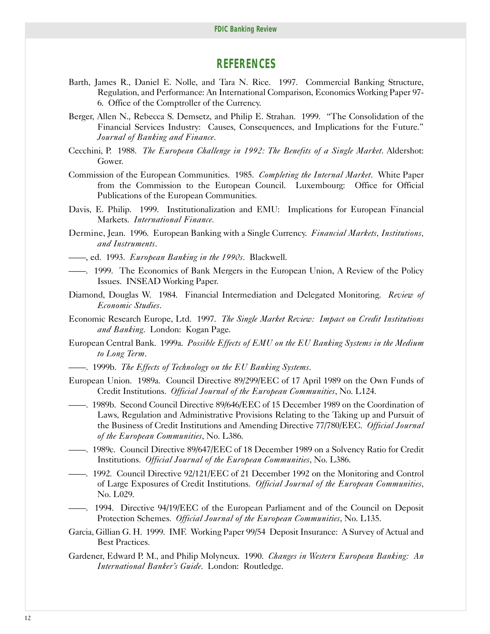### *REFERENCES*

- Barth, James R., Daniel E. Nolle, and Tara N. Rice. 1997. Commercial Banking Structure, Regulation, and Performance: An International Comparison, Economics Working Paper 97 6. Office of the Comptroller of the Currency.
- Berger, Allen N., Rebecca S. Demsetz, and Philip E. Strahan. 1999. "The Consolidation of the Financial Services Industry: Causes, Consequences, and Implications for the Future." *Journal of Banking and Finance*.
- Cecchini, P. 1988. *The European Challenge in 1992: The Benefits of a Single Market*. Aldershot: Gower.
- Commission of the European Communities. 1985. *Completing the Internal Market*. White Paper from the Commission to the European Council. Luxembourg: Office for Official Publications of the European Communities.
- Davis, E. Philip. 1999. Institutionalization and EMU: Implications for European Financial Markets. *International Finance.*
- Dermine, Jean. 1996. European Banking with a Single Currency. *Financial Markets, Institutions, and Instruments*.
- ——, ed. 1993. *European Banking in the 1990s*. Blackwell.
- ——. 1999. The Economics of Bank Mergers in the European Union, A Review of the Policy Issues. INSEAD Working Paper.
- Diamond, Douglas W. 1984. Financial Intermediation and Delegated Monitoring. *Review of Economic Studies*.
- Economic Research Europe, Ltd. 1997. *The Single Market Review: Impact on Credit Institutions and Banking*. London: Kogan Page.
- European Central Bank. 1999a. *Possible Effects of EMU on the EU Banking Systems in the Medium to Long Term*.
- ——. 1999b. *The Effects of Technology on the EU Banking Systems*.
- European Union. 1989a. Council Directive 89/299/EEC of 17 April 1989 on the Own Funds of Credit Institutions. *Official Journal of the European Communities*, No. L124.
- ——. 1989b. Second Council Directive 89/646/EEC of 15 December 1989 on the Coordination of Laws, Regulation and Administrative Provisions Relating to the Taking up and Pursuit of the Business of Credit Institutions and Amending Directive 77/780/EEC. *Official Journal of the European Communities*, No. L386.
- ——. 1989c. Council Directive 89/647/EEC of 18 December 1989 on a Solvency Ratio for Credit Institutions. *Official Journal of the European Communities*, No. L386.
- ——. 1992. Council Directive 92/121/EEC of 21 December 1992 on the Monitoring and Control of Large Exposures of Credit Institutions. *Official Journal of the European Communities*, No. L029.
- ——. 1994. Directive 94/19/EEC of the European Parliament and of the Council on Deposit Protection Schemes. *Official Journal of the European Communities*, No. L135.
- Garcia, Gillian G. H. 1999. IMF. Working Paper 99/54 Deposit Insurance: A Survey of Actual and Best Practices.
- Gardener, Edward P. M., and Philip Molyneux. 1990. *Changes in Western European Banking: An International Banker's Guide*. London: Routledge.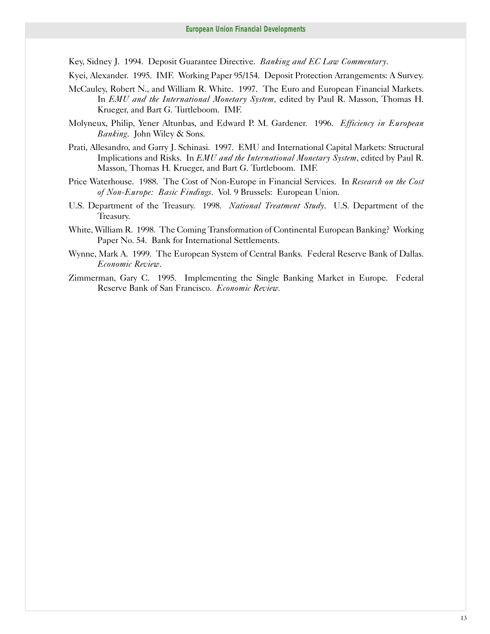Key, Sidney J. 1994. Deposit Guarantee Directive. *Banking and EC Law Commentary*.

Kyei, Alexander. 1995. IMF. Working Paper 95/154. Deposit Protection Arrangements: A Survey.

- McCauley, Robert N., and William R. White. 1997. The Euro and European Financial Markets. In *EMU and the International Monetary System,* edited by Paul R. Masson, Thomas H. Krueger, and Bart G. Turtleboom. IMF.
- Molyneux, Philip, Yener Altunbas, and Edward P. M. Gardener. 1996. *Efficiency in European Banking*. John Wiley & Sons.
- Prati, Allesandro, and Garry J. Schinasi. 1997. EMU and International Capital Markets: Structural Implications and Risks. In *EMU and the International Monetary System*, edited by Paul R. Masson, Thomas H. Krueger, and Bart G. Turtleboom. IMF.
- Price Waterhouse. 1988. The Cost of Non-Europe in Financial Services. In *Research on the Cost of Non-Europe: Basic Findings*. Vol. 9 Brussels: European Union.
- U.S. Department of the Treasury. 1998. *National Treatment Study*. U.S. Department of the Treasury.
- White, William R. 1998. The Coming Transformation of Continental European Banking? Working Paper No. 54. Bank for International Settlements.
- Wynne, Mark A. 1999. The European System of Central Banks. Federal Reserve Bank of Dallas. *Economic Review*.
- Zimmerman, Gary C. 1995. Implementing the Single Banking Market in Europe. Federal Reserve Bank of San Francisco. *Economic Review.*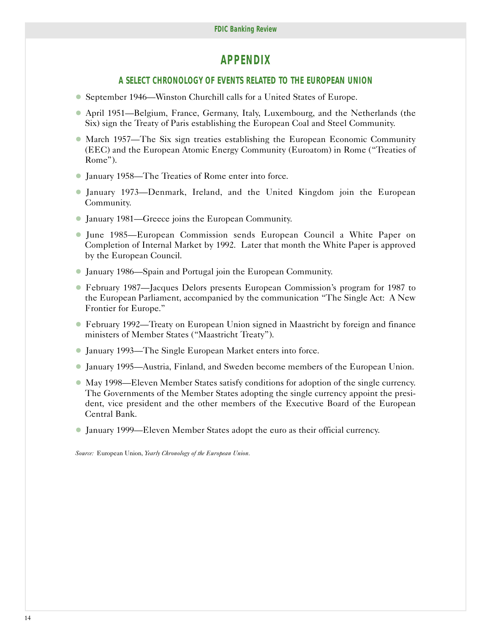# *APPENDIX*

#### **A SELECT CHRONOLOGY OF EVENTS RELATED TO THE EUROPEAN UNION**

- � September 1946—Winston Churchill calls for a United States of Europe.
- � April 1951—Belgium, France, Germany, Italy, Luxembourg, and the Netherlands (the Six) sign the Treaty of Paris establishing the European Coal and Steel Community.
- � March 1957—The Six sign treaties establishing the European Economic Community (EEC) and the European Atomic Energy Community (Euroatom) in Rome ("Treaties of Rome").
- � January 1958—The Treaties of Rome enter into force.
- � January 1973—Denmark, Ireland, and the United Kingdom join the European Community.
- � January 1981—Greece joins the European Community.
- � June 1985—European Commission sends European Council a White Paper on Completion of Internal Market by 1992. Later that month the White Paper is approved by the European Council.
- � January 1986—Spain and Portugal join the European Community.
- � February 1987—Jacques Delors presents European Commission's program for 1987 to the European Parliament, accompanied by the communication "The Single Act: A New Frontier for Europe."
- � February 1992—Treaty on European Union signed in Maastricht by foreign and finance ministers of Member States ("Maastricht Treaty").
- � January 1993—The Single European Market enters into force.
- � January 1995—Austria, Finland, and Sweden become members of the European Union.
- � May 1998—Eleven Member States satisfy conditions for adoption of the single currency. The Governments of the Member States adopting the single currency appoint the president, vice president and the other members of the Executive Board of the European Central Bank.
- � January 1999—Eleven Member States adopt the euro as their official currency.

*Source:* European Union, *Yearly Chronology of the European Union*.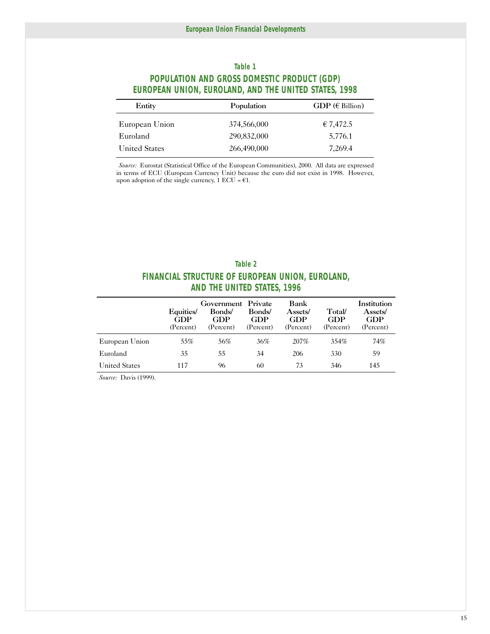### **Table 1 POPULATION AND GROSS DOMESTIC PRODUCT (GDP) EUROPEAN UNION, EUROLAND, AND THE UNITED STATES, 1998**

| Entity               | Population  | GDP ( $\in$ Billion) |
|----------------------|-------------|----------------------|
| European Union       | 374,566,000 | €7,472.5             |
| Euroland             | 290,832,000 | 5,776.1              |
| <b>United States</b> | 266,490,000 | 7,269.4              |

*Source:* Eurostat (Statistical Office of the European Communities), 2000. All data are expressed in terms of ECU (European Currency Unit) because the euro did not exist in 1998. However, upon adoption of the single currency,  $1 \text{ ECU} = \text{\textsterling}1$ .

| Table 2                                          |
|--------------------------------------------------|
| FINANCIAL STRUCTURE OF EUROPEAN UNION, EUROLAND, |
| <b>AND THE UNITED STATES, 1996</b>               |

|                      | Equities/<br>GDP<br>(Percent) | Government Private<br>Bonds/<br>GDP<br>(Percent) | Bonds/<br>GDP<br>(Percent) | Bank<br>Assets/<br>GDP<br>(Percent) | Total/<br>GDP<br>(Percent) | Institution<br>Assets/<br><b>GDP</b><br>(Percent) |
|----------------------|-------------------------------|--------------------------------------------------|----------------------------|-------------------------------------|----------------------------|---------------------------------------------------|
| European Union       | 55%                           | 56%                                              | 36%                        | 207\%                               | 354%                       | 74%                                               |
| Euroland             | 35                            | 55                                               | 34                         | 206                                 | 330                        | 59                                                |
| <b>United States</b> | 117                           | 96                                               | 60                         | 73                                  | 346                        | 145                                               |

*Source:* Davis (1999).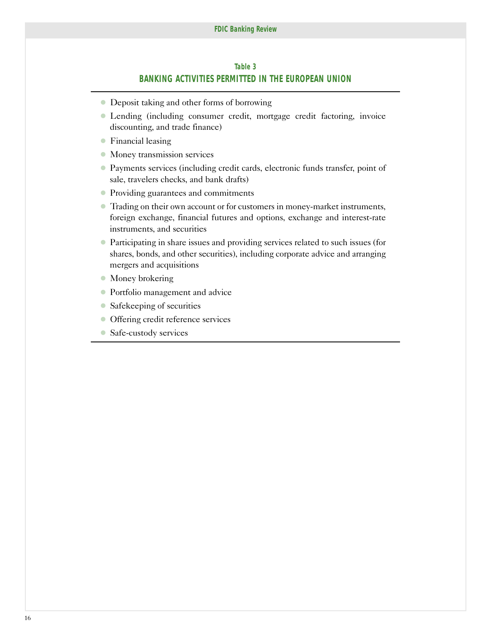#### **Table 3**

#### **BANKING ACTIVITIES PERMITTED IN THE EUROPEAN UNION**

- Deposit taking and other forms of borrowing
- � Lending (including consumer credit, mortgage credit factoring, invoice discounting, and trade finance)
- � Financial leasing
- $\bullet$  Money transmission services
- � Payments services (including credit cards, electronic funds transfer, point of sale, travelers checks, and bank drafts)
- � Providing guarantees and commitments
- � Trading on their own account or for customers in money-market instruments, foreign exchange, financial futures and options, exchange and interest-rate instruments, and securities
- � Participating in share issues and providing services related to such issues (for shares, bonds, and other securities), including corporate advice and arranging mergers and acquisitions
- Money brokering
- � Portfolio management and advice
- Safekeeping of securities
- Offering credit reference services
- Safe-custody services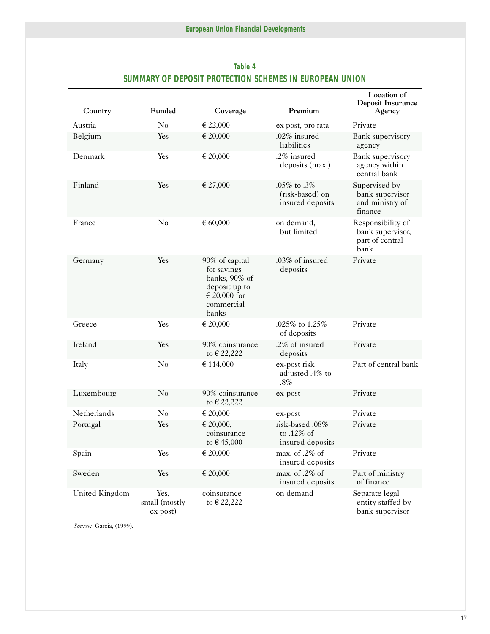| Country            | Funded                              | Coverage                                                                                                   | Premium                                              | Location of<br>Deposit Insurance<br>Agency                       |
|--------------------|-------------------------------------|------------------------------------------------------------------------------------------------------------|------------------------------------------------------|------------------------------------------------------------------|
| Austria            | No                                  | € 22,000                                                                                                   | ex post, pro rata                                    | Private                                                          |
| Belgium            | Yes                                 | € 20,000                                                                                                   | .02% insured<br>liabilities                          | <b>Bank</b> supervisory<br>agency                                |
| Denmark            | Yes                                 | € 20,000                                                                                                   | .2% insured<br>deposits (max.)                       | <b>Bank</b> supervisory<br>agency within<br>central bank         |
| Finland            | Yes                                 | € 27,000                                                                                                   | .05% to .3%<br>(risk-based) on<br>insured deposits   | Supervised by<br>bank supervisor<br>and ministry of<br>finance   |
| France             | No                                  | $\epsilon$ 60,000                                                                                          | on demand,<br>but limited                            | Responsibility of<br>bank supervisor,<br>part of central<br>bank |
| Germany            | Yes                                 | 90% of capital<br>for savings<br>banks, 90% of<br>deposit up to<br>$\in$ 20,000 for<br>commercial<br>banks | $.03\%$ of insured<br>deposits                       | Private                                                          |
| Greece             | Yes                                 | € 20,000                                                                                                   | .025% to 1.25%<br>of deposits                        | Private                                                          |
| Ireland            | Yes                                 | 90% coinsurance<br>to € 22,222                                                                             | .2% of insured<br>deposits                           | Private                                                          |
| Italy              | No                                  | € 114,000                                                                                                  | ex-post risk<br>adjusted .4% to<br>$.8\%$            | Part of central bank                                             |
| Luxembourg         | $\rm No$                            | 90% coinsurance<br>to € 22,222                                                                             | $ex$ -post                                           | Private                                                          |
| <b>Netherlands</b> | No                                  | € 20,000                                                                                                   | ex-post                                              | Private                                                          |
| Portugal           | Yes                                 | € 20,000,<br>coinsurance<br>to €45,000                                                                     | risk-based .08%<br>to $.12\%$ of<br>insured deposits | Private                                                          |
| Spain              | Yes                                 | € 20,000                                                                                                   | max. of .2% of<br>insured deposits                   | Private                                                          |
| Sweden             | Yes                                 | € 20,000                                                                                                   | max. of .2% of<br>insured deposits                   | Part of ministry<br>of finance                                   |
| United Kingdom     | Yes,<br>small (mostly<br>$ex$ post) | coinsurance<br>to € 22,222                                                                                 | on demand                                            | Separate legal<br>entity staffed by<br>bank supervisor           |

### **Table 4 SUMMARY OF DEPOSIT PROTECTION SCHEMES IN EUROPEAN UNION**

*Source:* Garcia, (1999).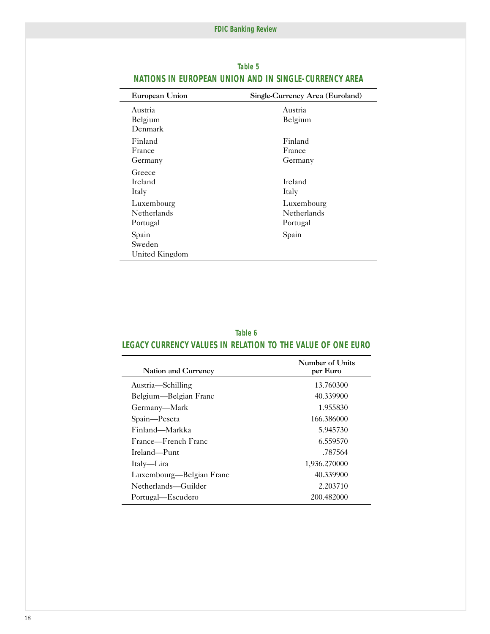| European Union                        | Single-Currency Area (Euroland)       |  |
|---------------------------------------|---------------------------------------|--|
| Austria<br>Belgium<br>Denmark         | Austria<br>Belgium                    |  |
| Finland<br>France<br>Germany          | Finland<br>France<br>Germany          |  |
| Greece<br><b>Ireland</b><br>Italy     | Ireland<br>Italy                      |  |
| Luxembourg<br>Netherlands<br>Portugal | Luxembourg<br>Netherlands<br>Portugal |  |
| Spain<br>Sweden<br>United Kingdom     | Spain                                 |  |

#### **Table 5 NATIONS IN EUROPEAN UNION AND IN SINGLE-CURRENCY AREA**

#### **Table 6 LEGACY CURRENCY VALUES IN RELATION TO THE VALUE OF ONE EURO**

| <b>Nation and Currency</b> | Number of Units<br>per Euro |
|----------------------------|-----------------------------|
| Austria—Schilling          | 13.760300                   |
| Belgium—Belgian Franc      | 40.339900                   |
| Germany—Mark               | 1.955830                    |
| Spain-Peseta               | 166.386000                  |
| Finland—Markka             | 5.945730                    |
| France—French Franc        | 6.559570                    |
| Ireland—Punt               | .787564                     |
| Italy—Lira                 | 1,936.270000                |
| Luxembourg—Belgian Franc   | 40.339900                   |
| Netherlands—Guilder        | 2.203710                    |
| Portugal—Escudero          | 200.482000                  |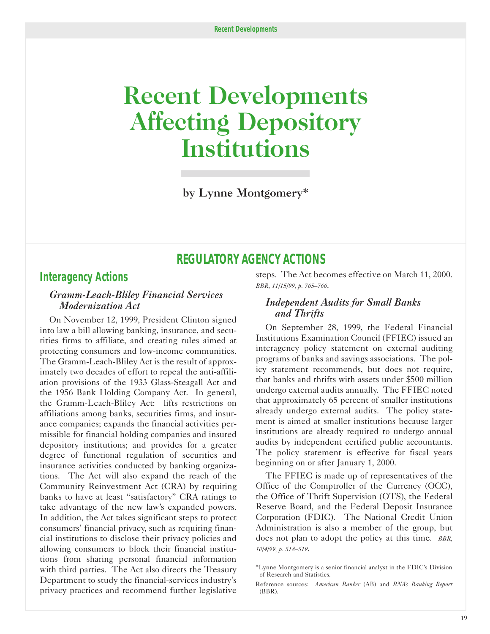# <span id="page-20-0"></span>**Recent Developments Affecting Depository Institutions**

by Lynne Montgomery\*

# **REGULATORY AGENCY ACTIONS**

### *Interagency Actions*

#### *Gramm-Leach-Bliley Financial Services Modernization Act*

On November 12, 1999, President Clinton signed into law a bill allowing banking, insurance, and securities firms to affiliate, and creating rules aimed at protecting consumers and low-income communities. The Gramm-Leach-Bliley Act is the result of approximately two decades of effort to repeal the anti-affiliation provisions of the 1933 Glass-Steagall Act and the 1956 Bank Holding Company Act. In general, the Gramm-Leach-Bliley Act: lifts restrictions on affiliations among banks, securities firms, and insurance companies; expands the financial activities permissible for financial holding companies and insured depository institutions; and provides for a greater degree of functional regulation of securities and insurance activities conducted by banking organizations. The Act will also expand the reach of the Community Reinvestment Act (CRA) by requiring banks to have at least "satisfactory" CRA ratings to take advantage of the new law's expanded powers. In addition, the Act takes significant steps to protect consumers' financial privacy, such as requiring financial institutions to disclose their privacy policies and allowing consumers to block their financial institutions from sharing personal financial information with third parties. The Act also directs the Treasury Department to study the financial-services industry's privacy practices and recommend further legislative

steps. The Act becomes effective on March 11, 2000. *BBR, 11/15/99, p. 765–766*.

#### *Independent Audits for Small Banks and Thrifts*

On September 28, 1999, the Federal Financial Institutions Examination Council (FFIEC) issued an interagency policy statement on external auditing programs of banks and savings associations. The policy statement recommends, but does not require, that banks and thrifts with assets under \$500 million undergo external audits annually. The FFIEC noted that approximately 65 percent of smaller institutions already undergo external audits. The policy statement is aimed at smaller institutions because larger institutions are already required to undergo annual audits by independent certified public accountants. The policy statement is effective for fiscal years beginning on or after January 1, 2000.

The FFIEC is made up of representatives of the Office of the Comptroller of the Currency (OCC), the Office of Thrift Supervision (OTS), the Federal Reserve Board, and the Federal Deposit Insurance Corporation (FDIC). The National Credit Union Administration is also a member of the group, but does not plan to adopt the policy at this time. *BBR, 10/4/99, p. 518–519*.

<sup>\*</sup>Lynne Montgomery is a senior financial analyst in the FDIC's Division of Research and Statistics.

Reference sources: *American Banker* (AB) and *BNA's Banking Report*  (BBR).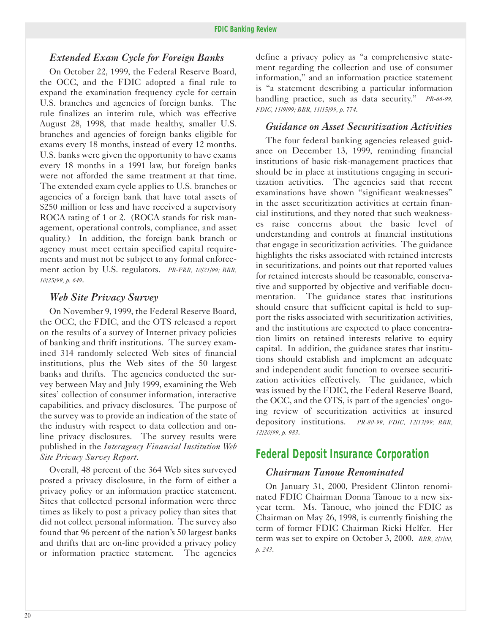#### *Extended Exam Cycle for Foreign Banks*

On October 22, 1999, the Federal Reserve Board, the OCC, and the FDIC adopted a final rule to expand the examination frequency cycle for certain U.S. branches and agencies of foreign banks. The rule finalizes an interim rule, which was effective August 28, 1998, that made healthy, smaller U.S. branches and agencies of foreign banks eligible for exams every 18 months, instead of every 12 months. U.S. banks were given the opportunity to have exams every 18 months in a 1991 law, but foreign banks were not afforded the same treatment at that time. The extended exam cycle applies to U.S. branches or agencies of a foreign bank that have total assets of \$250 million or less and have received a supervisory ROCA rating of 1 or 2. (ROCA stands for risk management, operational controls, compliance, and asset quality.) In addition, the foreign bank branch or agency must meet certain specified capital requirements and must not be subject to any formal enforcement action by U.S. regulators. *PR-FRB, 10/21/99; BBR, 10/25/99, p. 649*.

#### *Web Site Privacy Survey*

On November 9, 1999, the Federal Reserve Board, the OCC, the FDIC, and the OTS released a report on the results of a survey of Internet privacy policies of banking and thrift institutions. The survey examined 314 randomly selected Web sites of financial institutions, plus the Web sites of the 50 largest banks and thrifts. The agencies conducted the survey between May and July 1999, examining the Web sites' collection of consumer information, interactive capabilities, and privacy disclosures. The purpose of the survey was to provide an indication of the state of the industry with respect to data collection and online privacy disclosures. The survey results were published in the *Interagency Financial Institution Web Site Privacy Survey Report*.

Overall, 48 percent of the 364 Web sites surveyed posted a privacy disclosure, in the form of either a privacy policy or an information practice statement. Sites that collected personal information were three times as likely to post a privacy policy than sites that did not collect personal information. The survey also found that 96 percent of the nation's 50 largest banks and thrifts that are on-line provided a privacy policy or information practice statement. The agencies

define a privacy policy as "a comprehensive statement regarding the collection and use of consumer information," and an information practice statement is "a statement describing a particular information handling practice, such as data security." *PR-66-99, FDIC, 11/9/99; BBR, 11/15/99, p. 774*.

#### *Guidance on Asset Securitization Activities*

The four federal banking agencies released guidance on December 13, 1999, reminding financial institutions of basic risk-management practices that should be in place at institutions engaging in securitization activities. The agencies said that recent examinations have shown "significant weaknesses" in the asset securitization activities at certain financial institutions, and they noted that such weaknesses raise concerns about the basic level of understanding and controls at financial institutions that engage in securitization activities. The guidance highlights the risks associated with retained interests in securitizations, and points out that reported values for retained interests should be reasonable, conservative and supported by objective and verifiable documentation. The guidance states that institutions should ensure that sufficient capital is held to support the risks associated with securitization activities, and the institutions are expected to place concentration limits on retained interests relative to equity capital. In addition, the guidance states that institutions should establish and implement an adequate and independent audit function to oversee securitization activities effectively. The guidance, which was issued by the FDIC, the Federal Reserve Board, the OCC, and the OTS, is part of the agencies' ongoing review of securitization activities at insured depository institutions. *PR-80-99, FDIC, 12/13/99; BBR, 12/20/99, p. 983*.

# *Federal Deposit Insurance Corporation*

#### *Chairman Tanoue Renominated*

On January 31, 2000, President Clinton renominated FDIC Chairman Donna Tanoue to a new sixyear term. Ms. Tanoue, who joined the FDIC as Chairman on May 26, 1998, is currently finishing the term of former FDIC Chairman Ricki Helfer. Her term was set to expire on October 3, 2000. *BBR, 2/7/00, p. 243*.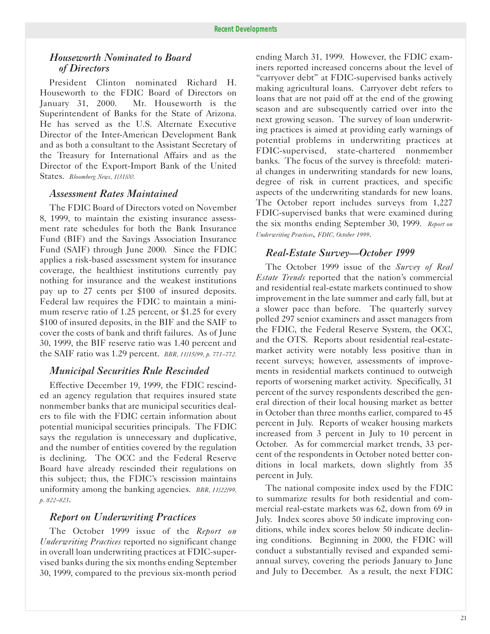#### *Houseworth Nominated to Board of Directors*

President Clinton nominated Richard H. Houseworth to the FDIC Board of Directors on January 31, 2000. Mr. Houseworth is the Superintendent of Banks for the State of Arizona. He has served as the U.S. Alternate Executive Director of the Inter-American Development Bank and as both a consultant to the Assistant Secretary of the Treasury for International Affairs and as the Director of the Export-Import Bank of the United States. *Bloomberg News, 1/31/00.* 

#### *Assessment Rates Maintained*

The FDIC Board of Directors voted on November 8, 1999, to maintain the existing insurance assessment rate schedules for both the Bank Insurance Fund (BIF) and the Savings Association Insurance Fund (SAIF) through June 2000. Since the FDIC applies a risk-based assessment system for insurance coverage, the healthiest institutions currently pay nothing for insurance and the weakest institutions pay up to 27 cents per \$100 of insured deposits. Federal law requires the FDIC to maintain a minimum reserve ratio of 1.25 percent, or \$1.25 for every \$100 of insured deposits, in the BIF and the SAIF to cover the costs of bank and thrift failures. As of June 30, 1999, the BIF reserve ratio was 1.40 percent and the SAIF ratio was 1.29 percent. *BBR, 11/15/99, p. 771–772.* 

#### *Municipal Securities Rule Rescinded*

Effective December 19, 1999, the FDIC rescinded an agency regulation that requires insured state nonmember banks that are municipal securities dealers to file with the FDIC certain information about potential municipal securities principals. The FDIC says the regulation is unnecessary and duplicative, and the number of entities covered by the regulation is declining. The OCC and the Federal Reserve Board have already rescinded their regulations on this subject; thus, the FDIC's rescission maintains uniformity among the banking agencies. *BBR, 11/22/99, p. 822–823*.

#### *Report on Underwriting Practices*

The October 1999 issue of the *Report on Underwriting Practices* reported no significant change in overall loan underwriting practices at FDIC-supervised banks during the six months ending September 30, 1999, compared to the previous six-month period ending March 31, 1999. However, the FDIC examiners reported increased concerns about the level of "carryover debt" at FDIC-supervised banks actively making agricultural loans. Carryover debt refers to loans that are not paid off at the end of the growing season and are subsequently carried over into the next growing season. The survey of loan underwriting practices is aimed at providing early warnings of potential problems in underwriting practices at FDIC-supervised, state-chartered nonmember banks. The focus of the survey is threefold: material changes in underwriting standards for new loans, degree of risk in current practices, and specific aspects of the underwriting standards for new loans. The October report includes surveys from 1,227 FDIC-supervised banks that were examined during the six months ending September 30, 1999. *Report on Underwriting Practices*, *FDIC, October 1999*.

#### *Real-Estate Survey—October 1999*

The October 1999 issue of the *Survey of Real Estate Trends* reported that the nation's commercial and residential real-estate markets continued to show improvement in the late summer and early fall, but at a slower pace than before. The quarterly survey polled 297 senior examiners and asset managers from the FDIC, the Federal Reserve System, the OCC, and the OTS. Reports about residential real-estatemarket activity were notably less positive than in recent surveys; however, assessments of improvements in residential markets continued to outweigh reports of worsening market activity. Specifically, 31 percent of the survey respondents described the general direction of their local housing market as better in October than three months earlier, compared to 45 percent in July. Reports of weaker housing markets increased from 3 percent in July to 10 percent in October. As for commercial market trends, 33 percent of the respondents in October noted better conditions in local markets, down slightly from 35 percent in July.

The national composite index used by the FDIC to summarize results for both residential and commercial real-estate markets was 62, down from 69 in July. Index scores above 50 indicate improving conditions, while index scores below 50 indicate declining conditions. Beginning in 2000, the FDIC will conduct a substantially revised and expanded semiannual survey, covering the periods January to June and July to December. As a result, the next FDIC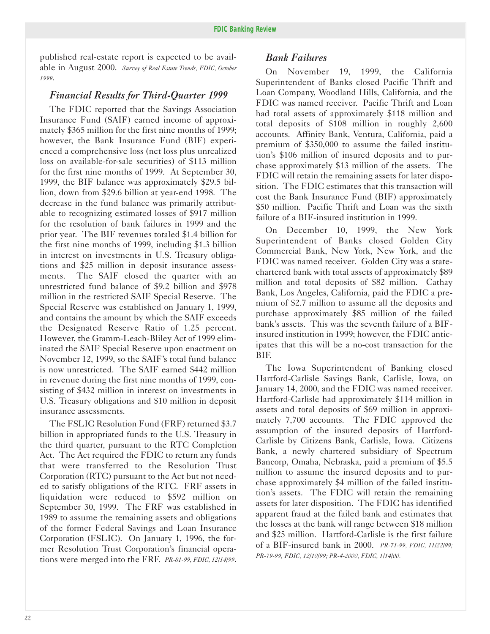published real-estate report is expected to be available in August 2000. *Survey of Real Estate Trends, FDIC, October 1999*.

#### *Financial Results for Third-Quarter 1999*

The FDIC reported that the Savings Association Insurance Fund (SAIF) earned income of approximately \$365 million for the first nine months of 1999; however, the Bank Insurance Fund (BIF) experienced a comprehensive loss (net loss plus unrealized loss on available-for-sale securities) of \$113 million for the first nine months of 1999. At September 30, 1999, the BIF balance was approximately \$29.5 billion, down from \$29.6 billion at year-end 1998. The decrease in the fund balance was primarily attributable to recognizing estimated losses of \$917 million for the resolution of bank failures in 1999 and the prior year. The BIF revenues totaled \$1.4 billion for the first nine months of 1999, including \$1.3 billion in interest on investments in U.S. Treasury obligations and \$25 million in deposit insurance assessments. The SAIF closed the quarter with an unrestricted fund balance of \$9.2 billion and \$978 million in the restricted SAIF Special Reserve. The Special Reserve was established on January 1, 1999, and contains the amount by which the SAIF exceeds the Designated Reserve Ratio of 1.25 percent. However, the Gramm-Leach-Bliley Act of 1999 eliminated the SAIF Special Reserve upon enactment on November 12, 1999, so the SAIF's total fund balance is now unrestricted. The SAIF earned \$442 million in revenue during the first nine months of 1999, consisting of \$432 million in interest on investments in U.S. Treasury obligations and \$10 million in deposit insurance assessments.

The FSLIC Resolution Fund (FRF) returned \$3.7 billion in appropriated funds to the U.S. Treasury in the third quarter, pursuant to the RTC Completion Act. The Act required the FDIC to return any funds that were transferred to the Resolution Trust Corporation (RTC) pursuant to the Act but not needed to satisfy obligations of the RTC. FRF assets in liquidation were reduced to \$592 million on September 30, 1999. The FRF was established in 1989 to assume the remaining assets and obligations of the former Federal Savings and Loan Insurance Corporation (FSLIC). On January 1, 1996, the former Resolution Trust Corporation's financial operations were merged into the FRF. *PR-81-99, FDIC, 12/14/99*.

#### *Bank Failures*

On November 19, 1999, the California Superintendent of Banks closed Pacific Thrift and Loan Company, Woodland Hills, California, and the FDIC was named receiver. Pacific Thrift and Loan had total assets of approximately \$118 million and total deposits of \$108 million in roughly 2,600 accounts. Affinity Bank, Ventura, California, paid a premium of \$350,000 to assume the failed institution's \$106 million of insured deposits and to purchase approximately \$13 million of the assets. The FDIC will retain the remaining assets for later disposition. The FDIC estimates that this transaction will cost the Bank Insurance Fund (BIF) approximately \$50 million. Pacific Thrift and Loan was the sixth failure of a BIF-insured institution in 1999.

On December 10, 1999, the New York Superintendent of Banks closed Golden City Commercial Bank, New York, New York, and the FDIC was named receiver. Golden City was a statechartered bank with total assets of approximately \$89 million and total deposits of \$82 million. Cathay Bank, Los Angeles, California, paid the FDIC a premium of \$2.7 million to assume all the deposits and purchase approximately \$85 million of the failed bank's assets. This was the seventh failure of a BIFinsured institution in 1999; however, the FDIC anticipates that this will be a no-cost transaction for the BIF.

The Iowa Superintendent of Banking closed Hartford-Carlisle Savings Bank, Carlisle, Iowa, on January 14, 2000, and the FDIC was named receiver. Hartford-Carlisle had approximately \$114 million in assets and total deposits of \$69 million in approximately 7,700 accounts. The FDIC approved the assumption of the insured deposits of Hartford-Carlisle by Citizens Bank, Carlisle, Iowa. Citizens Bank, a newly chartered subsidiary of Spectrum Bancorp, Omaha, Nebraska, paid a premium of \$5.5 million to assume the insured deposits and to purchase approximately \$4 million of the failed institution's assets. The FDIC will retain the remaining assets for later disposition. The FDIC has identified apparent fraud at the failed bank and estimates that the losses at the bank will range between \$18 million and \$25 million. Hartford-Carlisle is the first failure of a BIF-insured bank in 2000. *PR-71-99, FDIC, 11/22/99; PR-79-99, FDIC, 12/10/99; PR-4-2000, FDIC, 1/14/00.*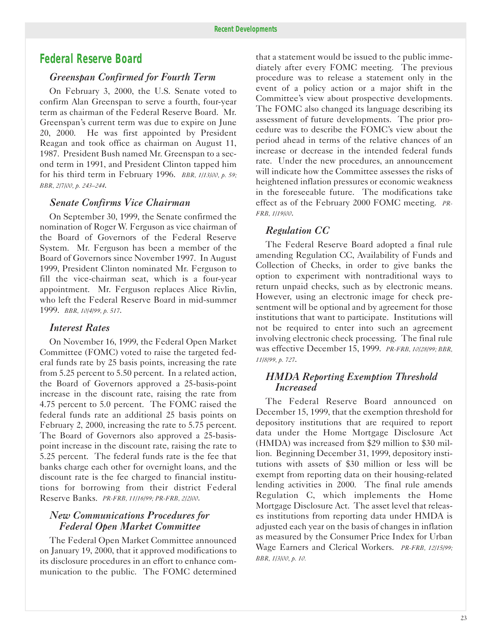# *Federal Reserve Board*

#### *Greenspan Confirmed for Fourth Term*

On February 3, 2000, the U.S. Senate voted to confirm Alan Greenspan to serve a fourth, four-year term as chairman of the Federal Reserve Board. Mr. Greenspan's current term was due to expire on June 20, 2000. He was first appointed by President Reagan and took office as chairman on August 11, 1987. President Bush named Mr. Greenspan to a second term in 1991, and President Clinton tapped him for his third term in February 1996. *BBR, 1/13/00, p. 59; BBR, 2/7/00, p. 243–244*.

#### *Senate Confirms Vice Chairman*

On September 30, 1999, the Senate confirmed the nomination of Roger W. Ferguson as vice chairman of the Board of Governors of the Federal Reserve System. Mr. Ferguson has been a member of the Board of Governors since November 1997. In August 1999, President Clinton nominated Mr. Ferguson to fill the vice-chairman seat, which is a four-year appointment. Mr. Ferguson replaces Alice Rivlin, who left the Federal Reserve Board in mid-summer 1999. *BBR, 10/4/99, p. 517*.

#### *Interest Rates*

On November 16, 1999, the Federal Open Market Committee (FOMC) voted to raise the targeted federal funds rate by 25 basis points, increasing the rate from 5.25 percent to 5.50 percent. In a related action, the Board of Governors approved a 25-basis-point increase in the discount rate, raising the rate from 4.75 percent to 5.0 percent. The FOMC raised the federal funds rate an additional 25 basis points on February 2, 2000, increasing the rate to 5.75 percent. The Board of Governors also approved a 25-basispoint increase in the discount rate, raising the rate to 5.25 percent. The federal funds rate is the fee that banks charge each other for overnight loans, and the discount rate is the fee charged to financial institutions for borrowing from their district Federal Reserve Banks. *PR-FRB, 11/16/99; PR-FRB, 2/2/00*.

#### *New Communications Procedures for Federal Open Market Committee*

The Federal Open Market Committee announced on January 19, 2000, that it approved modifications to its disclosure procedures in an effort to enhance communication to the public. The FOMC determined

that a statement would be issued to the public immediately after every FOMC meeting. The previous procedure was to release a statement only in the event of a policy action or a major shift in the Committee's view about prospective developments. The FOMC also changed its language describing its assessment of future developments. The prior procedure was to describe the FOMC's view about the period ahead in terms of the relative chances of an increase or decrease in the intended federal funds rate. Under the new procedures, an announcement will indicate how the Committee assesses the risks of heightened inflation pressures or economic weakness in the foreseeable future. The modifications take effect as of the February 2000 FOMC meeting. *PR-FRB, 1/19/00*.

#### *Regulation CC*

The Federal Reserve Board adopted a final rule amending Regulation CC, Availability of Funds and Collection of Checks, in order to give banks the option to experiment with nontraditional ways to return unpaid checks, such as by electronic means. However, using an electronic image for check presentment will be optional and by agreement for those institutions that want to participate. Institutions will not be required to enter into such an agreement involving electronic check processing. The final rule was effective December 15, 1999. *PR-FRB, 10/28/99; BBR, 11/8/99, p. 727*.

#### *HMDA Reporting Exemption Threshold Increased*

The Federal Reserve Board announced on December 15, 1999, that the exemption threshold for depository institutions that are required to report data under the Home Mortgage Disclosure Act (HMDA) was increased from \$29 million to \$30 million. Beginning December 31, 1999, depository institutions with assets of \$30 million or less will be exempt from reporting data on their housing-related lending activities in 2000. The final rule amends Regulation C, which implements the Home Mortgage Disclosure Act. The asset level that releases institutions from reporting data under HMDA is adjusted each year on the basis of changes in inflation as measured by the Consumer Price Index for Urban Wage Earners and Clerical Workers. *PR-FRB, 12/15/99; BBR, 1/3/00, p. 10.*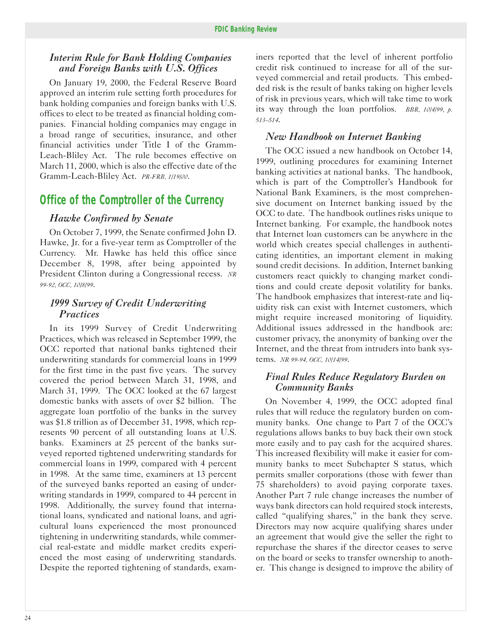#### *Interim Rule for Bank Holding Companies and Foreign Banks with U.S. Offices*

On January 19, 2000, the Federal Reserve Board approved an interim rule setting forth procedures for bank holding companies and foreign banks with U.S. offices to elect to be treated as financial holding companies. Financial holding companies may engage in a broad range of securities, insurance, and other financial activities under Title I of the Gramm-Leach-Bliley Act. The rule becomes effective on March 11, 2000, which is also the effective date of the Gramm-Leach-Bliley Act. *PR-FRB, 1/19/00*.

# *Office of the Comptroller of the Currency*

#### *Hawke Confirmed by Senate*

On October 7, 1999, the Senate confirmed John D. Hawke, Jr. for a five-year term as Comptroller of the Currency. Mr. Hawke has held this office since December 8, 1998, after being appointed by President Clinton during a Congressional recess. *NR 99-92, OCC, 10/8/99*.

#### *1999 Survey of Credit Underwriting Practices*

In its 1999 Survey of Credit Underwriting Practices, which was released in September 1999, the OCC reported that national banks tightened their underwriting standards for commercial loans in 1999 for the first time in the past five years. The survey covered the period between March 31, 1998, and March 31, 1999. The OCC looked at the 67 largest domestic banks with assets of over \$2 billion. The aggregate loan portfolio of the banks in the survey was \$1.8 trillion as of December 31, 1998, which represents 90 percent of all outstanding loans at U.S. banks. Examiners at 25 percent of the banks surveyed reported tightened underwriting standards for commercial loans in 1999, compared with 4 percent in 1998. At the same time, examiners at 13 percent of the surveyed banks reported an easing of underwriting standards in 1999, compared to 44 percent in 1998. Additionally, the survey found that international loans, syndicated and national loans, and agricultural loans experienced the most pronounced tightening in underwriting standards, while commercial real-estate and middle market credits experienced the most easing of underwriting standards. Despite the reported tightening of standards, exam-

iners reported that the level of inherent portfolio credit risk continued to increase for all of the surveyed commercial and retail products. This embedded risk is the result of banks taking on higher levels of risk in previous years, which will take time to work its way through the loan portfolios. *BBR, 10/4/99, p. 513–514*.

#### *New Handbook on Internet Banking*

The OCC issued a new handbook on October 14, 1999, outlining procedures for examining Internet banking activities at national banks. The handbook, which is part of the Comptroller's Handbook for National Bank Examiners, is the most comprehensive document on Internet banking issued by the OCC to date. The handbook outlines risks unique to Internet banking. For example, the handbook notes that Internet loan customers can be anywhere in the world which creates special challenges in authenticating identities, an important element in making sound credit decisions. In addition, Internet banking customers react quickly to changing market conditions and could create deposit volatility for banks. The handbook emphasizes that interest-rate and liquidity risk can exist with Internet customers, which might require increased monitoring of liquidity. Additional issues addressed in the handbook are: customer privacy, the anonymity of banking over the Internet, and the threat from intruders into bank systems. *NR 99-94, OCC, 10/14/99*.

#### *Final Rules Reduce Regulatory Burden on Community Banks*

On November 4, 1999, the OCC adopted final rules that will reduce the regulatory burden on community banks. One change to Part 7 of the OCC's regulations allows banks to buy back their own stock more easily and to pay cash for the acquired shares. This increased flexibility will make it easier for community banks to meet Subchapter S status, which permits smaller corporations (those with fewer than 75 shareholders) to avoid paying corporate taxes. Another Part 7 rule change increases the number of ways bank directors can hold required stock interests, called "qualifying shares," in the bank they serve. Directors may now acquire qualifying shares under an agreement that would give the seller the right to repurchase the shares if the director ceases to serve on the board or seeks to transfer ownership to another. This change is designed to improve the ability of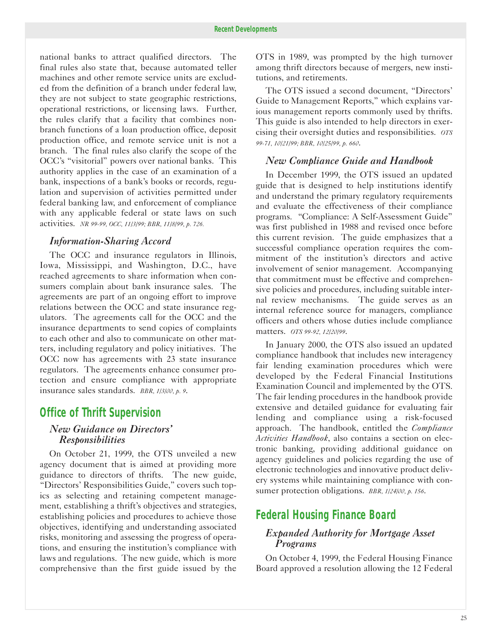national banks to attract qualified directors. The final rules also state that, because automated teller machines and other remote service units are excluded from the definition of a branch under federal law, they are not subject to state geographic restrictions, operational restrictions, or licensing laws. Further, the rules clarify that a facility that combines nonbranch functions of a loan production office, deposit production office, and remote service unit is not a branch. The final rules also clarify the scope of the OCC's "visitorial" powers over national banks. This authority applies in the case of an examination of a bank, inspections of a bank's books or records, regulation and supervision of activities permitted under federal banking law, and enforcement of compliance with any applicable federal or state laws on such activities. *NR 99-99, OCC, 11/3/99; BBR, 11/8/99, p. 726.* 

#### *Information-Sharing Accord*

The OCC and insurance regulators in Illinois, Iowa, Mississippi, and Washington, D.C., have reached agreements to share information when consumers complain about bank insurance sales. The agreements are part of an ongoing effort to improve relations between the OCC and state insurance regulators. The agreements call for the OCC and the insurance departments to send copies of complaints to each other and also to communicate on other matters, including regulatory and policy initiatives. The OCC now has agreements with 23 state insurance regulators. The agreements enhance consumer protection and ensure compliance with appropriate insurance sales standards. *BBR, 1/3/00, p. 9*.

# *Office of Thrift Supervision*

#### *New Guidance on Directors' Responsibilities*

On October 21, 1999, the OTS unveiled a new agency document that is aimed at providing more guidance to directors of thrifts. The new guide, "Directors' Responsibilities Guide," covers such topics as selecting and retaining competent management, establishing a thrift's objectives and strategies, establishing policies and procedures to achieve those objectives, identifying and understanding associated risks, monitoring and assessing the progress of operations, and ensuring the institution's compliance with laws and regulations. The new guide, which is more comprehensive than the first guide issued by the

OTS in 1989, was prompted by the high turnover among thrift directors because of mergers, new institutions, and retirements.

The OTS issued a second document, "Directors' Guide to Management Reports," which explains various management reports commonly used by thrifts. This guide is also intended to help directors in exercising their oversight duties and responsibilities. *OTS 99-71, 10/21/99; BBR, 10/25/99, p. 660*.

#### *New Compliance Guide and Handbook*

In December 1999, the OTS issued an updated guide that is designed to help institutions identify and understand the primary regulatory requirements and evaluate the effectiveness of their compliance programs. "Compliance: A Self-Assessment Guide" was first published in 1988 and revised once before this current revision. The guide emphasizes that a successful compliance operation requires the commitment of the institution's directors and active involvement of senior management. Accompanying that commitment must be effective and comprehensive policies and procedures, including suitable internal review mechanisms. The guide serves as an internal reference source for managers, compliance officers and others whose duties include compliance matters. *OTS 99-92, 12/20/99*.

In January 2000, the OTS also issued an updated compliance handbook that includes new interagency fair lending examination procedures which were developed by the Federal Financial Institutions Examination Council and implemented by the OTS. The fair lending procedures in the handbook provide extensive and detailed guidance for evaluating fair lending and compliance using a risk-focused approach. The handbook, entitled the *Compliance Activities Handbook*, also contains a section on electronic banking, providing additional guidance on agency guidelines and policies regarding the use of electronic technologies and innovative product delivery systems while maintaining compliance with consumer protection obligations. *BBR, 1/24/00, p. 156*.

# *Federal Housing Finance Board*

#### *Expanded Authority for Mortgage Asset Programs*

On October 4, 1999, the Federal Housing Finance Board approved a resolution allowing the 12 Federal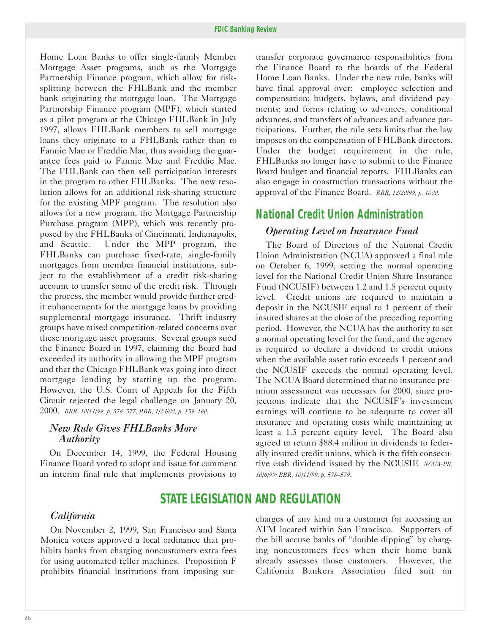Home Loan Banks to offer single-family Member Mortgage Asset programs, such as the Mortgage Partnership Finance program, which allow for risksplitting between the FHLBank and the member bank originating the mortgage loan. The Mortgage Partnership Finance program (MPF), which started as a pilot program at the Chicago FHLBank in July 1997, allows FHLBank members to sell mortgage loans they originate to a FHLBank rather than to Fannie Mae or Freddie Mac, thus avoiding the guarantee fees paid to Fannie Mae and Freddie Mac. The FHLBank can then sell participation interests in the program to other FHLBanks. The new resolution allows for an additional risk-sharing structure for the existing MPF program. The resolution also allows for a new program, the Mortgage Partnership Purchase program (MPP), which was recently proposed by the FHLBanks of Cincinnati, Indianapolis, and Seattle. Under the MPP program, the FHLBanks can purchase fixed-rate, single-family mortgages from member financial institutions, subject to the establishment of a credit risk-sharing account to transfer some of the credit risk. Through the process, the member would provide further credit enhancements for the mortgage loans by providing supplemental mortgage insurance. Thrift industry groups have raised competition-related concerns over these mortgage asset programs. Several groups sued the Finance Board in 1997, claiming the Board had exceeded its authority in allowing the MPF program and that the Chicago FHLBank was going into direct mortgage lending by starting up the program. However, the U.S. Court of Appeals for the Fifth Circuit rejected the legal challenge on January 20, 2000. *BBR, 10/11/99, p. 576–577; BBR, 1/24/00, p. 159–160.* 

#### *New Rule Gives FHLBanks More Authority*

On December 14, 1999, the Federal Housing Finance Board voted to adopt and issue for comment an interim final rule that implements provisions to

transfer corporate governance responsibilities from the Finance Board to the boards of the Federal Home Loan Banks. Under the new rule, banks will have final approval over: employee selection and compensation; budgets, bylaws, and dividend payments; and forms relating to advances, conditional advances, and transfers of advances and advance participations. Further, the rule sets limits that the law imposes on the compensation of FHLBank directors. Under the budget requirement in the rule, FHLBanks no longer have to submit to the Finance Board budget and financial reports. FHLBanks can also engage in construction transactions without the approval of the Finance Board. *BBR, 12/20/99, p. 1000.* 

# *National Credit Union Administration Operating Level on Insurance Fund*

The Board of Directors of the National Credit Union Administration (NCUA) approved a final rule on October 6, 1999, setting the normal operating level for the National Credit Union Share Insurance Fund (NCUSIF) between 1.2 and 1.5 percent equity level. Credit unions are required to maintain a deposit in the NCUSIF equal to 1 percent of their insured shares at the close of the preceding reporting period. However, the NCUA has the authority to set a normal operating level for the fund, and the agency is required to declare a dividend to credit unions when the available asset ratio exceeds 1 percent and the NCUSIF exceeds the normal operating level. The NCUA Board determined that no insurance premium assessment was necessary for 2000, since projections indicate that the NCUSIF's investment earnings will continue to be adequate to cover all insurance and operating costs while maintaining at least a 1.3 percent equity level. The Board also agreed to return \$88.4 million in dividends to federally insured credit unions, which is the fifth consecutive cash dividend issued by the NCUSIF. *NCUA-PR, 10/6/99; BBR, 10/11/99, p. 578–579*.

# **STATE LEGISLATION AND REGULATION**

Monica voters approved a local ordinance that pro- the bill accuse banks of "double dipping" by charghibits banks from charging noncustomers extra fees ing noncustomers fees when their home bank for using automated teller machines. Proposition  $F$  already assesses those customers. However, the prohibits financial institutions from imposing sur- California Bankers Association filed suit on

*California* **charges** of any kind on a customer for accessing an On November 2, 1999, San Francisco and Santa ATM located within San Francisco. Supporters of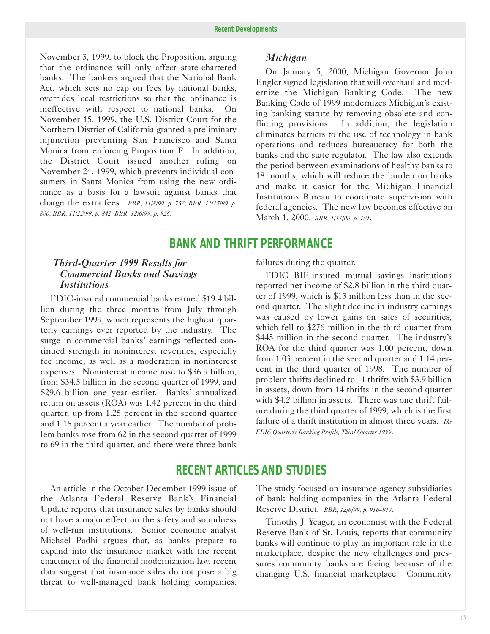November 3, 1999, to block the Proposition, arguing *Michigan*  that the ordinance will only affect state-chartered banks. The bankers argued that the National Bank Act, which sets no cap on fees by national banks, overrides local restrictions so that the ordinance is ineffective with respect to national banks. On November 15, 1999, the U.S. District Court for the Northern District of California granted a preliminary injunction preventing San Francisco and Santa Monica from enforcing Proposition F. In addition, the District Court issued another ruling on November 24, 1999, which prevents individual consumers in Santa Monica from using the new ordinance as a basis for a lawsuit against banks that charge the extra fees. *BBR, 11/8/99, p. 752; BBR, 11/15/99, p. 800; BBR, 11/22/99, p. 842; BBR, 12/6/99, p. 926*.

On January 5, 2000, Michigan Governor John Engler signed legislation that will overhaul and modernize the Michigan Banking Code. The new Banking Code of 1999 modernizes Michigan's existing banking statute by removing obsolete and conflicting provisions. In addition, the legislation eliminates barriers to the use of technology in bank operations and reduces bureaucracy for both the banks and the state regulator. The law also extends the period between examinations of healthy banks to 18 months, which will reduce the burden on banks and make it easier for the Michigan Financial Institutions Bureau to coordinate supervision with federal agencies. The new law becomes effective on March 1, 2000. *BBR, 1/17/00, p. 101*.

# **BANK AND THRIFT PERFORMANCE**

#### *Third-Quarter 1999 Results for Commercial Banks and Savings Institutions*

FDIC-insured commercial banks earned \$19.4 billion during the three months from July through September 1999, which represents the highest quarterly earnings ever reported by the industry. The surge in commercial banks' earnings reflected continued strength in noninterest revenues, especially fee income, as well as a moderation in noninterest expenses. Noninterest income rose to \$36.9 billion, from \$34.5 billion in the second quarter of 1999, and \$29.6 billion one year earlier. Banks' annualized return on assets (ROA) was 1.42 percent in the third quarter, up from 1.25 percent in the second quarter and 1.15 percent a year earlier. The number of problem banks rose from 62 in the second quarter of 1999 to 69 in the third quarter, and there were three bank failures during the quarter.

FDIC BIF-insured mutual savings institutions reported net income of \$2.8 billion in the third quarter of 1999, which is \$13 million less than in the second quarter. The slight decline in industry earnings was caused by lower gains on sales of securities, which fell to \$276 million in the third quarter from \$445 million in the second quarter. The industry's ROA for the third quarter was 1.00 percent, down from 1.03 percent in the second quarter and 1.14 percent in the third quarter of 1998. The number of problem thrifts declined to 11 thrifts with \$3.9 billion in assets, down from 14 thrifts in the second quarter with \$4.2 billion in assets. There was one thrift failure during the third quarter of 1999, which is the first failure of a thrift institution in almost three years. *The FDIC Quarterly Banking Profile, Third Quarter 1999*.

## **RECENT ARTICLES AND STUDIES**

An article in the October-December 1999 issue of the Atlanta Federal Reserve Bank's Financial Update reports that insurance sales by banks should not have a major effect on the safety and soundness of well-run institutions. Senior economic analyst Michael Padhi argues that, as banks prepare to expand into the insurance market with the recent enactment of the financial modernization law, recent data suggest that insurance sales do not pose a big threat to well-managed bank holding companies.

The study focused on insurance agency subsidiaries of bank holding companies in the Atlanta Federal Reserve District. *BBR, 12/6/99, p. 916–917*.

Timothy J. Yeager, an economist with the Federal Reserve Bank of St. Louis, reports that community banks will continue to play an important role in the marketplace, despite the new challenges and pressures community banks are facing because of the changing U.S. financial marketplace. Community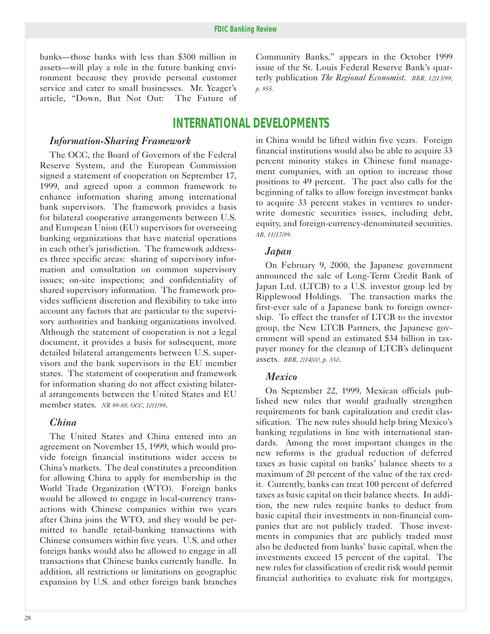banks—those banks with less than \$300 million in assets—will play a role in the future banking environment because they provide personal customer service and cater to small businesses. Mr. Yeager's article, "Down, But Not Out: The Future of

#### *Information-Sharing Framework*

The OCC, the Board of Governors of the Federal Reserve System, and the European Commission signed a statement of cooperation on September 17, 1999, and agreed upon a common framework to enhance information sharing among international bank supervisors. The framework provides a basis for bilateral cooperative arrangements between U.S. and European Union (EU) supervisors for overseeing banking organizations that have material operations in each other's jurisdiction. The framework addresses three specific areas: sharing of supervisory information and consultation on common supervisory issues; on-site inspections; and confidentiality of shared supervisory information. The framework provides sufficient discretion and flexibility to take into account any factors that are particular to the supervisory authorities and banking organizations involved. Although the statement of cooperation is not a legal document, it provides a basis for subsequent, more detailed bilateral arrangements between U.S. supervisors and the bank supervisors in the EU member states. The statement of cooperation and framework for information sharing do not affect existing bilateral arrangements between the United States and EU member states. *NR 99-88, OCC, 10/1/99*.

#### *China*

The United States and China entered into an agreement on November 15, 1999, which would provide foreign financial institutions wider access to China's markets. The deal constitutes a precondition for allowing China to apply for membership in the World Trade Organization (WTO). Foreign banks would be allowed to engage in local-currency transactions with Chinese companies within two years after China joins the WTO, and they would be permitted to handle retail-banking transactions with Chinese consumers within five years. U.S. and other foreign banks would also be allowed to engage in all transactions that Chinese banks currently handle. In addition, all restrictions or limitations on geographic expansion by U.S. and other foreign bank branches Community Banks," appears in the October 1999 issue of the St. Louis Federal Reserve Bank's quarterly publication *The Regional Economist*. *BBR, 12/13/99, p. 955.* 

# **INTERNATIONAL DEVELOPMENTS**

in China would be lifted within five years. Foreign financial institutions would also be able to acquire 33 percent minority stakes in Chinese fund management companies, with an option to increase those positions to 49 percent. The pact also calls for the beginning of talks to allow foreign investment banks to acquire 33 percent stakes in ventures to underwrite domestic securities issues, including debt, equity, and foreign-currency-denominated securities. *AB, 11/17/99.* 

#### *Japan*

On February 9, 2000, the Japanese government announced the sale of Long-Term Credit Bank of Japan Ltd. (LTCB) to a U.S. investor group led by Ripplewood Holdings. The transaction marks the first-ever sale of a Japanese bank to foreign ownership. To effect the transfer of LTCB to the investor group, the New LTCB Partners, the Japanese government will spend an estimated \$34 billion in taxpayer money for the cleanup of LTCB's delinquent assets. *BBR, 2/14/00, p. 330*.

#### *Mexico*

On September 22, 1999, Mexican officials published new rules that would gradually strengthen requirements for bank capitalization and credit classification. The new rules should help bring Mexico's banking regulations in line with international standards. Among the most important changes in the new reforms is the gradual reduction of deferred taxes as basic capital on banks' balance sheets to a maximum of 20 percent of the value of the tax credit. Currently, banks can treat 100 percent of deferred taxes as basic capital on their balance sheets. In addition, the new rules require banks to deduct from basic capital their investments in non-financial companies that are not publicly traded. Those investments in companies that are publicly traded must also be deducted from banks' basic capital, when the investments exceed 15 percent of the capital. The new rules for classification of credit risk would permit financial authorities to evaluate risk for mortgages,